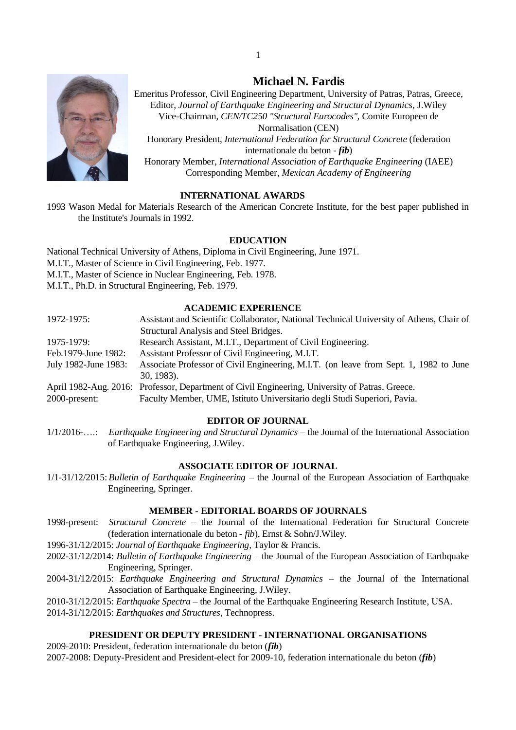

# **Michael N. Fardis**

Emeritus Professor, Civil Engineering Department, University of Patras, Patras, Greece, Editor, *Journal of Earthquake Engineering and Structural Dynamics,* J.Wiley Vice-Chairman, *CEN/TC250 "Structural Eurocodes",* Comite Europeen de Normalisation (CEN)

Honorary President, *International Federation for Structural Concrete* (federation internationale du beton - *fib*)

Honorary Member, *International Association of Earthquake Engineering* (IAEE) Corresponding Member, *Mexican Academy of Engineering*

# **INTERNATIONAL AWARDS**

1993 Wason Medal for Materials Research of the American Concrete Institute, for the best paper published in the Institute's Journals in 1992.

#### **EDUCATION**

National Technical University of Athens, Diploma in Civil Engineering, June 1971.

M.I.T., Master of Science in Civil Engineering, Feb. 1977.

M.I.T., Master of Science in Nuclear Engineering, Feb. 1978.

M.I.T., Ph.D. in Structural Engineering, Feb. 1979.

## **ACADEMIC EXPERIENCE**

| Assistant and Scientific Collaborator, National Technical University of Athens, Chair of        |
|-------------------------------------------------------------------------------------------------|
| Structural Analysis and Steel Bridges.                                                          |
| Research Assistant, M.I.T., Department of Civil Engineering.                                    |
| Assistant Professor of Civil Engineering, M.I.T.                                                |
| Associate Professor of Civil Engineering, M.I.T. (on leave from Sept. 1, 1982 to June           |
| $30, 1983$ .                                                                                    |
| April 1982-Aug. 2016: Professor, Department of Civil Engineering, University of Patras, Greece. |
| Faculty Member, UME, Istituto Universitario degli Studi Superiori, Pavia.                       |
|                                                                                                 |

#### **EDITOR OF JOURNAL**

1/1/2016-….: *Earthquake Engineering and Structural Dynamics* – the Journal of the International Association of Earthquake Engineering, J.Wiley.

## **ASSOCIATE EDITOR OF JOURNAL**

1/1-31/12/2015: *Bulletin of Earthquake Engineering* – the Journal of the European Association of Earthquake Engineering, Springer.

#### **MEMBER - EDITORIAL BOARDS OF JOURNALS**

- 1998-present: *Structural Concrete* the Journal of the International Federation for Structural Concrete (federation internationale du beton - *fib*), Ernst & Sohn/J.Wiley.
- 1996-31/12/2015: *Journal of Earthquake Engineering*, Taylor & Francis.
- 2002-31/12/2014: *Bulletin of Earthquake Engineering* the Journal of the European Association of Earthquake Engineering, Springer.
- 2004-31/12/2015: *Earthquake Engineering and Structural Dynamics* the Journal of the International Association of Earthquake Engineering, J.Wiley.

2010-31/12/2015: *Earthquake Spectra* – the Journal of the Earthquake Engineering Research Institute, USA. 2014-31/12/2015: *Earthquakes and Structures*, Technopress.

## **PRESIDENT OR DEPUTY PRESIDENT - INTERNATIONAL ORGANISATIONS**

2009-2010: President, federation internationale du beton (*fib*) 2007-2008: Deputy-President and President-elect for 2009-10, federation internationale du beton (*fib*)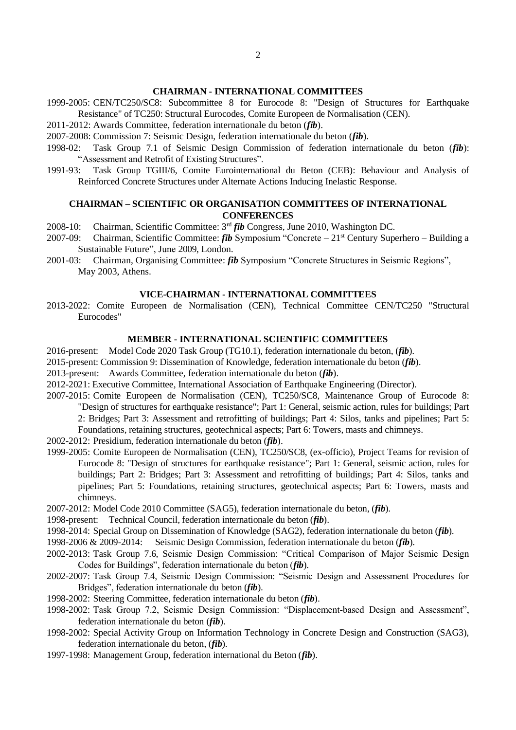#### **CHAIRMAN - INTERNATIONAL COMMITTEES**

- 1999-2005: CEN/TC250/SC8: Subcommittee 8 for Eurocode 8: "Design of Structures for Earthquake Resistance" of TC250: Structural Eurocodes, Comite Europeen de Normalisation (CEN).
- 2011-2012: Awards Committee, federation internationale du beton (*fib*).
- 2007-2008: Commission 7: Seismic Design, federation internationale du beton (*fib*).
- 1998-02: Task Group 7.1 of Seismic Design Commission of federation internationale du beton (*fib*): "Assessment and Retrofit of Existing Structures".
- 1991-93: Task Group TGIII/6, Comite Eurointernational du Beton (CEB): Behaviour and Analysis of Reinforced Concrete Structures under Alternate Actions Inducing Inelastic Response.

#### **CHAIRMAN – SCIENTIFIC OR ORGANISATION COMMITTEES OF INTERNATIONAL CONFERENCES**

- 2008-10: Chairman, Scientific Committee: 3rd *fib* Congress, June 2010, Washington DC.
- 2007-09: Chairman, Scientific Committee: *fib* Symposium "Concrete 21st Century Superhero Building a Sustainable Future", June 2009, London.
- 2001-03: Chairman, Organising Committee: *fib* Symposium "Concrete Structures in Seismic Regions", May 2003, Athens.

#### **VICE-CHAIRMAN - INTERNATIONAL COMMITTEES**

2013-2022: Comite Europeen de Normalisation (CEN), Technical Committee CEN/TC250 "Structural Eurocodes"

## **MEMBER - INTERNATIONAL SCIENTIFIC COMMITTEES**

- 2016-present: Model Code 2020 Task Group (TG10.1), federation internationale du beton, (*fib*).
- 2015-present: Commission 9: Dissemination of Knowledge, federation internationale du beton (*fib*).
- 2013-present: Awards Committee, federation internationale du beton (*fib*).
- 2012-2021: Executive Committee, International Association of Earthquake Engineering (Director).
- 2007-2015: Comite Europeen de Normalisation (CEN), TC250/SC8, Maintenance Group of Eurocode 8: "Design of structures for earthquake resistance"; Part 1: General, seismic action, rules for buildings; Part 2: Bridges; Part 3: Assessment and retrofitting of buildings; Part 4: Silos, tanks and pipelines; Part 5:

Foundations, retaining structures, geotechnical aspects; Part 6: Towers, masts and chimneys.

- 2002-2012: Presidium, federation internationale du beton (*fib*).
- 1999-2005: Comite Europeen de Normalisation (CEN), TC250/SC8, (ex-officio), Project Teams for revision of Eurocode 8: "Design of structures for earthquake resistance"; Part 1: General, seismic action, rules for buildings; Part 2: Bridges; Part 3: Assessment and retrofitting of buildings; Part 4: Silos, tanks and pipelines; Part 5: Foundations, retaining structures, geotechnical aspects; Part 6: Towers, masts and chimneys.
- 2007-2012: Model Code 2010 Committee (SAG5), federation internationale du beton, (*fib*).
- 1998-present: Technical Council, federation internationale du beton (*fib*).
- 1998-2014: Special Group on Dissemination of Knowledge (SAG2), federation internationale du beton (*fib*).
- 1998-2006 & 2009-2014: Seismic Design Commission, federation internationale du beton (*fib*).
- 2002-2013: Task Group 7.6, Seismic Design Commission: "Critical Comparison of Major Seismic Design Codes for Buildings", federation internationale du beton (*fib*).
- 2002-2007: Task Group 7.4, Seismic Design Commission: "Seismic Design and Assessment Procedures for Bridges", federation internationale du beton (*fib*).
- 1998-2002: Steering Committee, federation internationale du beton (*fib*).
- 1998-2002: Task Group 7.2, Seismic Design Commission: "Displacement-based Design and Assessment", federation internationale du beton (*fib*).
- 1998-2002: Special Activity Group on Information Technology in Concrete Design and Construction (SAG3), federation internationale du beton, (*fib*).
- 1997-1998: Management Group, federation international du Beton (*fib*).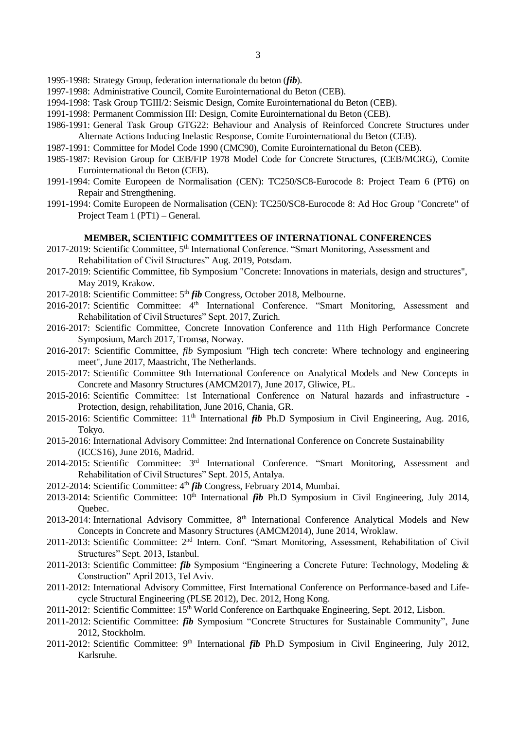- 1995-1998: Strategy Group, federation internationale du beton (*fib*).
- 1997-1998: Administrative Council, Comite Eurointernational du Beton (CEB).
- 1994-1998: Task Group TGIII/2: Seismic Design, Comite Eurointernational du Beton (CEB).
- 1991-1998: Permanent Commission III: Design, Comite Eurointernational du Beton (CEB).
- 1986-1991: General Task Group GTG22: Behaviour and Analysis of Reinforced Concrete Structures under Alternate Actions Inducing Inelastic Response, Comite Eurointernational du Beton (CEB).
- 1987-1991: Committee for Model Code 1990 (CMC90), Comite Eurointernational du Beton (CEB).
- 1985-1987: Revision Group for CEB/FIP 1978 Model Code for Concrete Structures, (CEB/MCRG), Comite Eurointernational du Beton (CEB).
- 1991-1994: Comite Europeen de Normalisation (CEN): TC250/SC8-Eurocode 8: Project Team 6 (PT6) on Repair and Strengthening.
- 1991-1994: Comite Europeen de Normalisation (CEN): TC250/SC8-Eurocode 8: Ad Hoc Group "Concrete" of Project Team 1 (PT1) – General.

#### **MEMBER, SCIENTIFIC COMMITTEES OF INTERNATIONAL CONFERENCES**

- 2017-2019: Scientific Committee, 5<sup>th</sup> International Conference. "Smart Monitoring, Assessment and Rehabilitation of Civil Structures" Aug. 2019, Potsdam.
- 2017-2019: Scientific Committee, fib Symposium "Concrete: Innovations in materials, design and structures", May 2019, Krakow.
- 2017-2018: Scientific Committee: 5th *fib* Congress, October 2018, Melbourne.
- 2016-2017: Scientific Committee: 4<sup>th</sup> International Conference. "Smart Monitoring, Assessment and Rehabilitation of Civil Structures" Sept. 2017, Zurich.
- 2016-2017: Scientific Committee, Concrete Innovation Conference and 11th High Performance Concrete Symposium, March 2017, Tromsø, Norway.
- 2016-2017: Scientific Committee, *fib* Symposium "High tech concrete: Where technology and engineering meet", June 2017, Maastricht, The Netherlands.
- 2015-2017: Scientific Committee 9th International Conference on Analytical Models and New Concepts in Concrete and Masonry Structures (AMCM2017), June 2017, Gliwice, PL.
- 2015-2016: Scientific Committee: 1st International Conference on Νatural hazards and infrastructure Protection, design, rehabilitation, June 2016, Chania, GR.
- 2015-2016: Scientific Committee: 11th International *fib* Ph.D Symposium in Civil Engineering, Aug. 2016, Tokyo.
- 2015-2016: International Advisory Committee: 2nd International Conference on Concrete Sustainability (ICCS16), June 2016, Madrid.
- 2014-2015: Scientific Committee: 3rd International Conference. "Smart Monitoring, Assessment and Rehabilitation of Civil Structures" Sept. 2015, Antalya.
- 2012-2014: Scientific Committee: 4th *fib* Congress, February 2014, Mumbai.
- 2013-2014: Scientific Committee: 10<sup>th</sup> International *fib* Ph.D Symposium in Civil Engineering, July 2014, Quebec.
- 2013-2014: International Advisory Committee, 8<sup>th</sup> International Conference Analytical Models and New Concepts in Concrete and Masonry Structures (AMCM2014), June 2014, Wroklaw.
- 2011-2013: Scientific Committee: 2nd Intern. Conf. "Smart Monitoring, Assessment, Rehabilitation of Civil Structures" Sept. 2013, Istanbul.
- 2011-2013: Scientific Committee: *fib* Symposium "Engineering a Concrete Future: Technology, Modeling & Construction" April 2013, Tel Aviv.
- 2011-2012: International Advisory Committee, First International Conference on Performance-based and Lifecycle Structural Engineering (PLSE 2012), Dec. 2012, Hong Kong.
- 2011-2012: Scientific Committee: 15<sup>th</sup> World Conference on Earthquake Engineering, Sept. 2012, Lisbon.
- 2011-2012: Scientific Committee: *fib* Symposium "Concrete Structures for Sustainable Community", June 2012, Stockholm.
- 2011-2012: Scientific Committee: 9<sup>th</sup> International *fib* Ph.D Symposium in Civil Engineering, July 2012, Karlsruhe.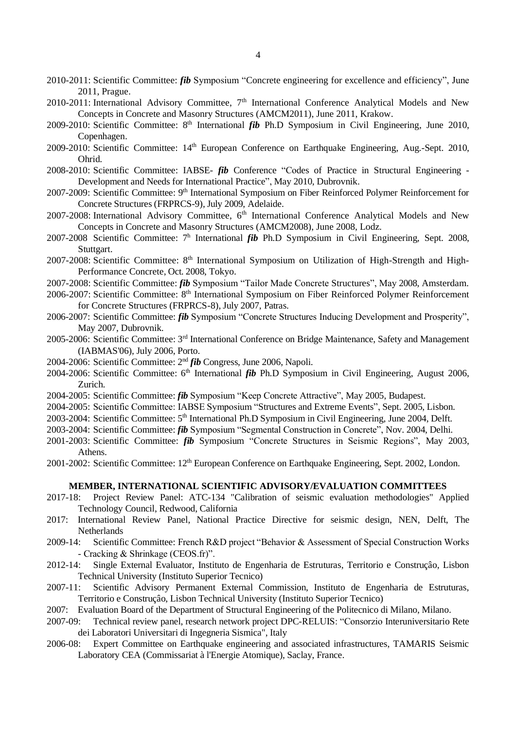- 2010-2011: Scientific Committee: *fib* Symposium "Concrete engineering for excellence and efficiency", June 2011, Prague.
- 2010-2011: International Advisory Committee, 7<sup>th</sup> International Conference Analytical Models and New Concepts in Concrete and Masonry Structures (AMCM2011), June 2011, Krakow.
- 2009-2010: Scientific Committee: 8th International *fib* Ph.D Symposium in Civil Engineering, June 2010, Copenhagen.
- 2009-2010: Scientific Committee: 14th European Conference on Earthquake Engineering, Aug.-Sept. 2010, Ohrid.
- 2008-2010: Scientific Committee: IABSE- *fib* Conference "Codes of Practice in Structural Engineering Development and Needs for International Practice", May 2010, Dubrovnik.
- 2007-2009: Scientific Committee: 9<sup>th</sup> International Symposium on Fiber Reinforced Polymer Reinforcement for Concrete Structures (FRPRCS-9), July 2009, Adelaide.
- 2007-2008: International Advisory Committee, 6<sup>th</sup> International Conference Analytical Models and New Concepts in Concrete and Masonry Structures (AMCM2008), June 2008, Lodz.
- 2007-2008 Scientific Committee: 7 h International *fib* Ph.D Symposium in Civil Engineering, Sept. 2008, Stuttgart.
- 2007-2008: Scientific Committee: 8<sup>th</sup> International Symposium on Utilization of High-Strength and High-Performance Concrete, Oct. 2008, Tokyo.
- 2007-2008: Scientific Committee: *fib* Symposium "Tailor Made Concrete Structures", May 2008, Amsterdam.
- 2006-2007: Scientific Committee: 8th International Symposium on Fiber Reinforced Polymer Reinforcement for Concrete Structures (FRPRCS-8), July 2007, Patras.
- 2006-2007: Scientific Committee: *fib* Symposium "Concrete Structures Inducing Development and Prosperity", May 2007, Dubrovnik.
- 2005-2006: Scientific Committee: 3rd International Conference on Bridge Maintenance, Safety and Management (IABMAS'06), July 2006, Porto.
- 2004-2006: Scientific Committee: 2nd *fib* Congress, June 2006, Napoli.
- 2004-2006: Scientific Committee: 6th International *fib* Ph.D Symposium in Civil Engineering, August 2006, Zurich.
- 2004-2005: Scientific Committee: *fib* Symposium "Keep Concrete Attractive", May 2005, Budapest.
- 2004-2005: Scientific Committee: IABSE Symposium "Structures and Extreme Events", Sept. 2005, Lisbon.
- 2003-2004: Scientific Committee: 5th International Ph.D Symposium in Civil Engineering, June 2004, Delft.
- 2003-2004: Scientific Committee: *fib* Symposium "Segmental Construction in Concrete", Nov. 2004, Delhi.
- 2001-2003: Scientific Committee: *fib* Symposium "Concrete Structures in Seismic Regions", May 2003, Athens.
- 2001-2002: Scientific Committee: 12th European Conference on Earthquake Engineering, Sept. 2002, London.

# **MEMBER, INTERNATIONAL SCIENTIFIC ADVISORY/EVALUATION COMMITTEES**

- 2017-18: Project Review Panel: ATC-134 "Calibration of seismic evaluation methodologies" Applied Technology Council, Redwood, California
- 2017: International Review Panel, National Practice Directive for seismic design, NEN, Delft, The **Netherlands**
- 2009-14: Scientific Committee: French R&D project "Behavior & Assessment of Special Construction Works - Cracking & Shrinkage (CEOS.fr)".
- 2012-14: Single External Evaluator, Instituto de Engenharia de Estruturas, Territorio e Construçâo, Lisbon Technical University (Instituto Superior Tecnico)
- 2007-11: Scientific Advisory Permanent External Commission, Instituto de Engenharia de Estruturas, Territorio e Construçâo, Lisbon Technical University (Instituto Superior Tecnico)
- 2007: Evaluation Board of the Department of Structural Engineering of the Politecnico di Milano, Milano.
- 2007-09: Technical review panel, research network project DPC-RELUIS: "Consorzio Interuniversitario Rete dei Laboratori Universitari di Ingegneria Sismica", Italy
- 2006-08: Expert Committee on Earthquake engineering and associated infrastructures, TAMARIS Seismic Laboratory CEA (Commissariat à l'Energie Atomique), Saclay, France.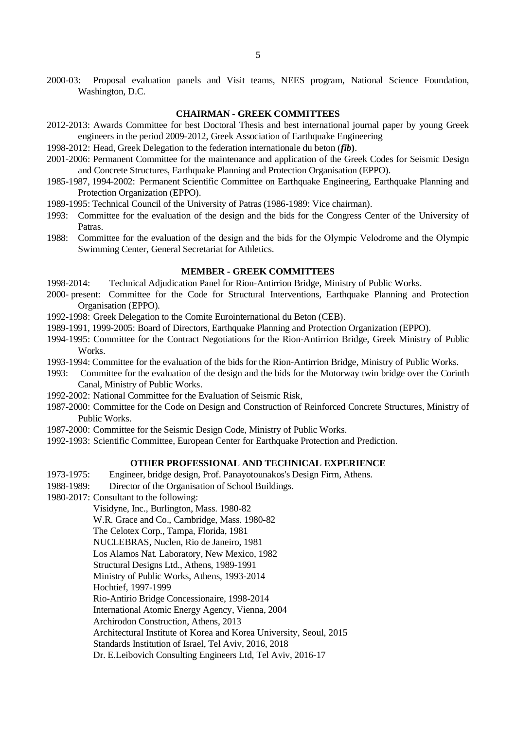2000-03: Proposal evaluation panels and Visit teams, NEES program, National Science Foundation, Washington, D.C.

#### **CHAIRMAN - GREEK COMMITTEES**

- 2012-2013: Awards Committee for best Doctoral Thesis and best international journal paper by young Greek engineers in the period 2009-2012, Greek Association of Earthquake Engineering
- 1998-2012: Head, Greek Delegation to the federation internationale du beton (*fib***)**.
- 2001-2006: Permanent Committee for the maintenance and application of the Greek Codes for Seismic Design and Concrete Structures, Earthquake Planning and Protection Organisation (EPPO).
- 1985-1987, 1994-2002: Permanent Scientific Committee on Earthquake Engineering, Earthquake Planning and Protection Organization (EPPO).
- 1989-1995: Technical Council of the University of Patras (1986-1989: Vice chairman).
- 1993: Committee for the evaluation of the design and the bids for the Congress Center of the University of Patras.
- 1988: Committee for the evaluation of the design and the bids for the Οlympic Velodrome and the Olympic Swimming Center, General Secretariat for Athletics.

## **MEMBER - GREEK COMMITTEES**

1998-2014: Technical Adjudication Panel for Rion-Antirrion Bridge, Ministry of Public Works.

- 2000- present: Committee for the Code for Structural Interventions, Earthquake Planning and Protection Organisation (EPPO).
- 1992-1998: Greek Delegation to the Comite Eurointernational du Beton (CEB).
- 1989-1991, 1999-2005: Board of Directors, Earthquake Planning and Protection Organization (EPPO).
- 1994-1995: Committee for the Contract Negotiations for the Rion-Antirrion Bridge, Greek Ministry of Public Works.
- 1993-1994: Committee for the evaluation of the bids for the Rion-Antirrion Bridge, Ministry of Public Works.
- 1993: Committee for the evaluation of the design and the bids for the Motorway twin bridge over the Corinth Canal, Ministry of Public Works.
- 1992-2002: National Committee for the Evaluation of Seismic Risk,
- 1987-2000: Committee for the Code on Design and Construction of Reinforced Concrete Structures, Ministry of Public Works.
- 1987-2000: Committee for the Seismic Design Code, Ministry of Public Works.
- 1992-1993: Scientific Committee, European Center for Earthquake Protection and Prediction.

#### **OTHER PROFESSIONAL AND TECHNICAL EXPERIENCE**

- 1973-1975: Engineer, bridge design, Prof. Panayotounakos's Design Firm, Athens.
- 1988-1989: Director of the Organisation of School Buildings.
- 1980-2017: Consultant to the following:

Visidyne, Inc., Burlington, Mass. 1980-82

W.R. Grace and Co., Cambridge, Mass. 1980-82

The Celotex Corp., Tampa, Florida, 1981

NUCLEBRAS, Nuclen, Rio de Janeiro, 1981

Los Alamos Nat. Laboratory, New Mexico, 1982

Structural Designs Ltd., Athens, 1989-1991

Ministry of Public Works, Athens, 1993-2014

Hochtief, 1997-1999

Rio-Antirio Bridge Concessionaire, 1998-2014

International Atomic Energy Agency, Vienna, 2004

Archirodon Construction, Athens, 2013

Architectural Institute of Korea and Korea University, Seoul, 2015

Standards Institution of Israel, Tel Aviv, 2016, 2018

Dr. E.Leibovich Consulting Engineers Ltd, Tel Aviv, 2016-17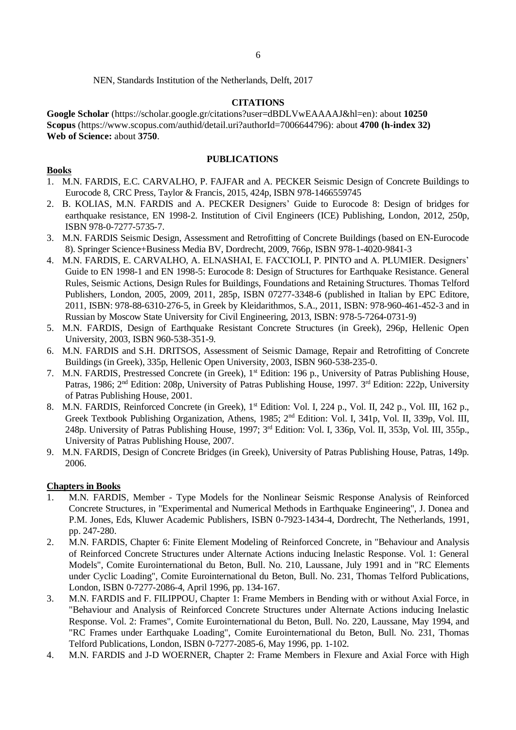NEN, Standards Institution of the Netherlands, Delft, 2017

## **CITATIONS**

**Google Scholar** (https://scholar.google.gr/citations?user=dBDLVwEAAAAJ&hl=en): about **10250 Scopus** (https://www.scopus.com/authid/detail.uri?authorId=7006644796): about **4700 (h-index 32) Web of Science:** about **3750**.

#### **PUBLICATIONS**

## **Books**

- 1. M.N. FARDIS, E.C. CARVALHO, P. FAJFAR and Α. PECKER Seismic Design of Concrete Buildings to Eurocode 8, CRC Press, Taylor & Francis, 2015, 424p, ISBN 978-1466559745
- 2. Β. KOLIAS, M.N. FARDIS and Α. PECKER Designers' Guide to Eurocode 8: Design of bridges for earthquake resistance, EN 1998-2. Institution of Civil Engineers (ICE) Publishing, London, 2012, 250p, ISBN 978-0-7277-5735-7.
- 3. M.N. FARDIS Seismic Design, Assessment and Retrofitting of Concrete Buildings (based on EN-Eurocode 8). Springer Science+Business Media BV, Dordrecht, 2009, 766p, ISBN 978-1-4020-9841-3
- 4. M.N. FARDIS, E. CARVALHO, A. ELNASHAI, E. FACCIOLI, P. PINTO and A. PLUMIER. Designers' Guide to EN 1998-1 and EN 1998-5: Eurocode 8: Design of Structures for Earthquake Resistance. General Rules, Seismic Actions, Design Rules for Buildings, Foundations and Retaining Structures. Thomas Telford Publishers, London, 2005, 2009, 2011, 285p, ISBN 07277-3348-6 (published in Italian by EPC Editore, 2011, ISBN: 978-88-6310-276-5, in Greek by Kleidarithmos, S.A., 2011, ISBN: 978-960-461-452-3 and in Russian by Moscow State University for Civil Engineering, 2013, ISBN: 978-5-7264-0731-9)
- 5. M.N. FARDIS, Design of Earthquake Resistant Concrete Structures (in Greek), 296p, Hellenic Open University, 2003, ISBN 960-538-351-9.
- 6. M.N. FARDIS and S.H. DRITSOS, Assessment of Seismic Damage, Repair and Retrofitting of Concrete Buildings (in Greek), 335p, Hellenic Open University, 2003, ISBN 960-538-235-0.
- 7. M.N. FARDIS, Prestressed Concrete (in Greek), 1<sup>st</sup> Edition: 196 p., University of Patras Publishing House, Patras, 1986; 2<sup>nd</sup> Edition: 208p, University of Patras Publishing House, 1997. 3<sup>rd</sup> Edition: 222p, University of Patras Publishing House, 2001.
- 8. M.N. FARDIS, Reinforced Concrete (in Greek), 1<sup>st</sup> Edition: Vol. I, 224 p., Vol. II, 242 p., Vol. III, 162 p., Greek Textbook Publishing Organization, Athens, 1985; 2<sup>nd</sup> Edition: Vol. I, 341p, Vol. II, 339p, Vol. III, 248p. University of Patras Publishing House, 1997; 3<sup>rd</sup> Edition: Vol. I, 336p, Vol. II, 353p, Vol. III, 355p., University of Patras Publishing House, 2007.
- 9. M.N. FARDIS, Design of Concrete Bridges (in Greek), University of Patras Publishing House, Patras, 149p. 2006.

## **Chapters in Books**

- 1. M.N. FARDIS, Member Type Models for the Nonlinear Seismic Response Analysis of Reinforced Concrete Structures, in "Experimental and Numerical Methods in Earthquake Engineering", J. Donea and P.M. Jones, Eds, Kluwer Academic Publishers, ISBN 0-7923-1434-4, Dordrecht, The Netherlands, 1991, pp. 247-280.
- 2. M.N. FARDIS, Chapter 6: Finite Element Modeling of Reinforced Concrete, in "Behaviour and Analysis of Reinforced Concrete Structures under Alternate Actions inducing Inelastic Response. Vol. 1: General Models", Comite Eurointernational du Beton, Bull. No. 210, Laussane, July 1991 and in "RC Elements under Cyclic Loading", Comite Eurointernational du Beton, Bull. No. 231, Thomas Telford Publications, London, ISBN 0-7277-2086-4, April 1996, pp. 134-167.
- 3. M.N. FARDIS and F. FILIPPOU, Chapter 1: Frame Members in Bending with or without Axial Force, in "Behaviour and Analysis of Reinforced Concrete Structures under Alternate Actions inducing Inelastic Response. Vol. 2: Frames", Comite Eurointernational du Beton, Bull. No. 220, Laussane, May 1994, and "RC Frames under Earthquake Loading", Comite Eurointernational du Beton, Bull. No. 231, Thomas Telford Publications, London, ISBN 0-7277-2085-6, May 1996, pp. 1-102.
- 4. M.N. FARDIS and J-D WOERNER, Chapter 2: Frame Members in Flexure and Axial Force with High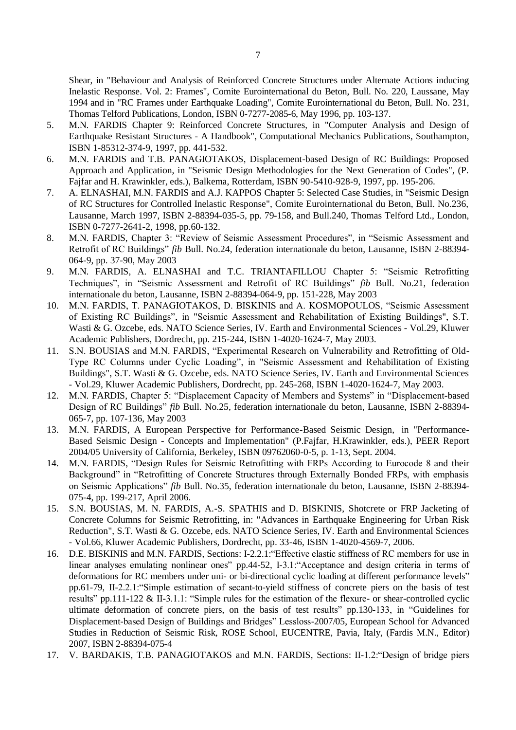Shear, in "Behaviour and Analysis of Reinforced Concrete Structures under Alternate Actions inducing Inelastic Response. Vol. 2: Frames", Comite Eurointernational du Beton, Bull. No. 220, Laussane, May 1994 and in "RC Frames under Earthquake Loading", Comite Eurointernational du Beton, Bull. No. 231, Thomas Telford Publications, London, ISBN 0-7277-2085-6, May 1996, pp. 103-137.

- 5. M.N. FARDIS Chapter 9: Reinforced Concrete Structures, in "Computer Analysis and Design of Earthquake Resistant Structures - A Handbook", Computational Mechanics Publications, Southampton, ISBN 1-85312-374-9, 1997, pp. 441-532.
- 6. M.N. FARDIS and T.B. PANAGIOTAKOS, Displacement-based Design of RC Buildings: Proposed Approach and Application, in "Seismic Design Methodologies for the Next Generation of Codes", (P. Fajfar and H. Krawinkler, eds.), Balkema, Rotterdam, ISBN 90-5410-928-9, 1997, pp. 195-206.
- 7. A. ELNASHAI, M.N. FARDIS and A.J. KAPPOS Chapter 5: Selected Case Studies, in "Seismic Design of RC Structures for Controlled Inelastic Response", Comite Eurointernational du Beton, Bull. No.236, Lausanne, March 1997, ISBN 2-88394-035-5, pp. 79-158, and Bull.240, Thomas Telford Ltd., London, ISBN 0-7277-2641-2, 1998, pp.60-132.
- 8. M.N. FARDIS, Chapter 3: "Review of Seismic Assessment Procedures", in "Seismic Assessment and Retrofit of RC Buildings" *fib* Bull. No.24, federation internationale du beton, Lausanne, ISBN 2-88394- 064-9, pp. 37-90, May 2003
- 9. M.N. FARDIS, A. ELNASHAI and T.C. TRIANTAFILLOU Chapter 5: "Seismic Retrofitting Techniques", in "Seismic Assessment and Retrofit of RC Buildings" *fib* Bull. No.21, federation internationale du beton, Lausanne, ISBN 2-88394-064-9, pp. 151-228, May 2003
- 10. M.N. FARDIS, T. PANAGIOTAKOS, D. BISKINIS and A. KOSMOPOULOS, "Seismic Assessment of Existing RC Buildings", in "Seismic Assessment and Rehabilitation of Existing Buildings", S.T. Wasti & G. Ozcebe, eds. NATO Science Series, IV. Earth and Environmental Sciences - Vol.29, Kluwer Academic Publishers, Dordrecht, pp. 215-244, ISBN 1-4020-1624-7, May 2003.
- 11. S.N. BOUSIAS and M.N. FARDIS, "Experimental Research on Vulnerability and Retrofitting of Old-Type RC Columns under Cyclic Loading", in "Seismic Assessment and Rehabilitation of Existing Buildings", S.T. Wasti & G. Ozcebe, eds. NATO Science Series, IV. Earth and Environmental Sciences - Vol.29, Kluwer Academic Publishers, Dordrecht, pp. 245-268, ISBN 1-4020-1624-7, May 2003.
- 12. M.N. FARDIS, Chapter 5: "Displacement Capacity of Members and Systems" in "Displacement-based Design of RC Buildings" *fib* Bull. No.25, federation internationale du beton, Lausanne, ISBN 2-88394- 065-7, pp. 107-136, May 2003
- 13. M.N. FARDIS, A European Perspective for Performance-Based Seismic Design, in "Performance-Based Seismic Design - Concepts and Implementation" (P.Fajfar, H.Krawinkler, eds.), PEER Report 2004/05 University of California, Berkeley, ISBN 09762060-0-5, p. 1-13, Sept. 2004.
- 14. M.N. FARDIS, "Design Rules for Seismic Retrofitting with FRPs According to Eurocode 8 and their Background" in "Retrofitting of Concrete Structures through Externally Bonded FRPs, with emphasis on Seismic Applications" *fib* Bull. No.35, federation internationale du beton, Lausanne, ISBN 2-88394- 075-4, pp. 199-217, April 2006.
- 15. S.N. BOUSIAS, M. N. FARDIS, A.-S. SPATHIS and D. BISKINIS, Shotcrete or FRP Jacketing of Concrete Columns for Seismic Retrofitting, in: "Advances in Earthquake Engineering for Urban Risk Reduction", S.T. Wasti & G. Ozcebe, eds. NATO Science Series, IV. Earth and Environmental Sciences - Vol.66, Kluwer Academic Publishers, Dordrecht, pp. 33-46, ISBN 1-4020-4569-7, 2006.
- 16. D.E. BISKINIS and M.N. FARDIS, Sections: I-2.2.1:"Effective elastic stiffness of RC members for use in linear analyses emulating nonlinear ones" pp.44-52, I-3.1:"Acceptance and design criteria in terms of deformations for RC members under uni- or bi-directional cyclic loading at different performance levels" pp.61-79, II-2.2.1:"Simple estimation of secant-to-yield stiffness of concrete piers on the basis of test results" pp.111-122 & II-3.1.1: "Simple rules for the estimation of the flexure- or shear-controlled cyclic ultimate deformation of concrete piers, on the basis of test results" pp.130-133, in "Guidelines for Displacement-based Design of Buildings and Bridges" Lessloss-2007/05, European School for Advanced Studies in Reduction of Seismic Risk, ROSE School, EUCENTRE, Pavia, Italy, (Fardis M.N., Editor) 2007, ISBN 2-88394-075-4
- 17. V. BARDAKIS, T.B. PANAGIOTAKOS and M.N. FARDIS, Sections: II-1.2:"Design of bridge piers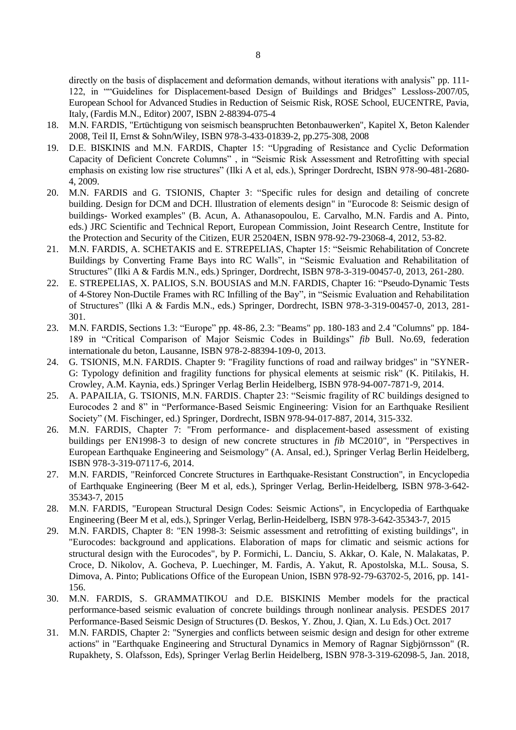directly on the basis of displacement and deformation demands, without iterations with analysis" pp. 111-122, in ""Guidelines for Displacement-based Design of Buildings and Bridges" Lessloss-2007/05, European School for Advanced Studies in Reduction of Seismic Risk, ROSE School, EUCENTRE, Pavia, Italy, (Fardis M.N., Editor) 2007, ISBN 2-88394-075-4

- 18. M.N. FARDIS, "Ertüchtigung von seismisch beanspruchten Betonbauwerken", Kapitel X, Beton Kalender 2008, Teil II, Ernst & Sohn/Wiley, ISBN 978-3-433-01839-2, pp.275-308, 2008
- 19. D.E. BISKINIS and M.N. FARDIS, Chapter 15: "Upgrading of Resistance and Cyclic Deformation Capacity of Deficient Concrete Columns" , in "Seismic Risk Assessment and Retrofitting with special emphasis on existing low rise structures" (Ilki A et al, eds.), Springer Dordrecht, ISBN 978-90-481-2680- 4, 2009.
- 20. M.N. FARDIS and G. TSIONIS, Chapter 3: "Specific rules for design and detailing of concrete building. Design for DCM and DCH. Illustration of elements design" in "Eurocode 8: Seismic design of buildings- Worked examples" [\(B. Acun,](http://bookshop.europa.eu/en/search/Filter?SearchParameter=%26%40QueryTerm%3D*%26Author%3DB.%2BAucun) [A. Athanasopoulou,](http://bookshop.europa.eu/en/search/Filter?SearchParameter=%26%40QueryTerm%3D*%26Author%3DA%2BAthanasopoulou) [E. Carvalho,](http://bookshop.europa.eu/en/search/Filter?SearchParameter=%26%40QueryTerm%3D*%26Author%3DE.%2BCarvalho) M.N. Fardis and [A. Pinto,](http://bookshop.europa.eu/en/search/Filter?SearchParameter=%26%40QueryTerm%3D*%26Author%3DP.%2BPinto) eds.) JRC Scientific and Technical Report, European Commission, Joint Research Centre, Institute for the Protection and Security of the Citizen, EUR 25204EN, ISBN 978-92-79-23068-4, 2012, 53-82.
- 21. M.N. FARDIS, A. SCHETAKIS and E. STREPELIAS, Chapter 15: "Seismic Rehabilitation of Concrete Buildings by Converting Frame Bays into RC Walls", in "Seismic Evaluation and Rehabilitation of Structures" (Ilki A & Fardis M.N., eds.) Springer, Dordrecht, ISBN 978-3-319-00457-0, 2013, 261-280.
- 22. E. STREPELIAS, X. PALIOS, S.N. BOUSIAS and M.N. FARDIS, Chapter 16: "Pseudo-Dynamic Tests of 4-Storey Non-Ductile Frames with RC Infilling of the Bay", in "Seismic Evaluation and Rehabilitation of Structures" (Ilki A & Fardis M.N., eds.) Springer, Dordrecht, ISBN 978-3-319-00457-0, 2013, 281- 301.
- 23. M.N. FARDIS, Sections 1.3: "Europe" pp. 48-86, 2.3: "Beams" pp. 180-183 and 2.4 "Columns" pp. 184- 189 in "Critical Comparison of Major Seismic Codes in Buildings" *fib* Bull. No.69, federation internationale du beton, Lausanne, ISBN 978-2-88394-109-0, 2013.
- 24. G. TSIONIS, M.N. FARDIS. Chapter 9: "Fragility functions of road and railway bridges" in "SYNER-G: Typology definition and fragility functions for physical elements at seismic risk" (K. Pitilakis, H. Crowley, A.M. Kaynia, eds.) Springer Verlag Berlin Heidelberg, ISBN 978-94-007-7871-9, 2014.
- 25. A. PAPAILIA, G. TSIONIS, M.N. FARDIS. Chapter 23: "Seismic fragility of RC buildings designed to Eurocodes 2 and 8" in "Performance-Based Seismic Engineering: Vision for an Earthquake Resilient Society" (M. Fischinger, ed.) Springer, Dordrecht, ISBN 978-94-017-887, 2014, 315-332.
- 26. M.N. FARDIS, Chapter 7: "From performance- and displacement-based assessment of existing buildings per EN1998-3 to design of new concrete structures in *fib* MC2010", in "Perspectives in European Earthquake Engineering and Seismology" (A. Ansal, ed.), Springer Verlag Berlin Heidelberg, ISBN 978-3-319-07117-6, 2014.
- 27. M.N. FARDIS, "Reinforced Concrete Structures in Earthquake-Resistant Construction", in Encyclopedia of Earthquake Engineering (Beer M et al, eds.), Springer Verlag, Berlin-Heidelberg, ISBN 978-3-642- 35343-7, 2015
- 28. M.N. FARDIS, "European Structural Design Codes: Seismic Actions", in Encyclopedia of Earthquake Engineering (Beer M et al, eds.), Springer Verlag, Berlin-Heidelberg, ISBN 978-3-642-35343-7, 2015
- 29. M.N. FARDIS, Chapter 8: "EN 1998-3: Seismic assessment and retrofitting of existing buildings", in "Eurocodes: background and applications. Elaboration of maps for climatic and seismic actions for structural design with the Eurocodes", by P. Formichi, L. Danciu, S. Akkar, O. Kale, N. Malakatas, P. Croce, D. Nikolov, A. Gocheva, P. Luechinger, M. Fardis, A. Yakut, R. Apostolska, M.L. Sousa, S. Dimova, A. Pinto; Publications Office of the European Union, ISBN 978-92-79-63702-5, 2016, pp. 141- 156.
- 30. M.N. FARDIS, S. GRAMMATIKOU and D.E. BISKINIS Member models for the practical performance-based seismic evaluation of concrete buildings through nonlinear analysis. PESDES 2017 Performance-Based Seismic Design of Structures (D. Beskos, Y. Zhou, J. Qian, X. Lu Eds.) Oct. 2017
- 31. M.N. FARDIS, Chapter 2: "Synergies and conflicts between seismic design and design for other extreme actions" in ["Earthquake Engineering and Structural Dynamics in Memory of Ragnar Sigbjörnsson"](http://www.springer.com/gp/book/9783319620985) (R. Rupakhety, S. Olafsson, Eds), Springer Verlag Berlin Heidelberg, ISBN 978-3-319-62098-5, Jan. 2018,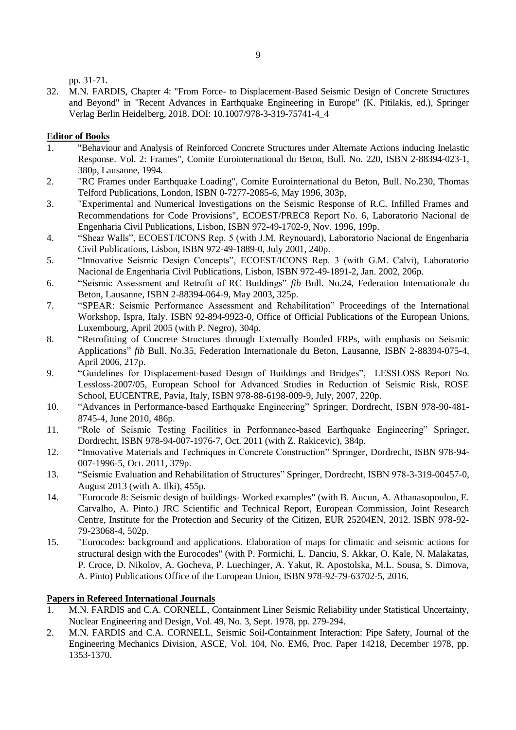pp. 31-71.

32. M.N. FARDIS, Chapter 4: "From Force- to Displacement-Based Seismic Design of Concrete Structures and Beyond" in "Recent Advances in Earthquake Engineering in Europe" (K. Pitilakis, ed.), Springer Verlag Berlin Heidelberg, 2018. DOI: 10.1007/978-3-319-75741-4\_4

# **Editor of Books**

- 1. "Behaviour and Analysis of Reinforced Concrete Structures under Alternate Actions inducing Inelastic Response. Vol. 2: Frames", Comite Eurointernational du Beton, Bull. No. 220, ISBN 2-88394-023-1, 380p, Lausanne, 1994.
- 2. "RC Frames under Earthquake Loading", Comite Eurointernational du Beton, Bull. No.230, Thomas Telford Publications, London, ISBN 0-7277-2085-6, May 1996, 303p,
- 3. "Experimental and Numerical Investigations on the Seismic Response of R.C. Infilled Frames and Recommendations for Code Provisions", ECOEST/PREC8 Report No. 6, Laboratorio Nacional de Engenharia Civil Publications, Lisbon, ISBN 972-49-1702-9, Nov. 1996, 199p.
- 4. "Shear Walls", ECOEST/ICONS Rep. 5 (with J.M. Reynouard), Laboratorio Nacional de Engenharia Civil Publications, Lisbon, ISBN 972-49-1889-0, July 2001, 240p.
- 5. "Innovative Seismic Design Concepts", ECOEST/ICONS Rep. 3 (with G.M. Calvi), Laboratorio Nacional de Engenharia Civil Publications, Lisbon, ISBN 972-49-1891-2, Jan. 2002, 206p.
- 6. "Seismic Assessment and Retrofit of RC Buildings" *fib* Bull. No.24, Federation Internationale du Beton, Lausanne, ISBN 2-88394-064-9, May 2003, 325p.
- 7. "SPEAR: Seismic Performance Assessment and Rehabilitation" Proceedings of the International Workshop, Ispra, Italy. ISBN 92-894-9923-0, Office of Official Publications of the European Unions, Luxembourg, April 2005 (with P. Negro), 304p.
- 8. "Retrofitting of Concrete Structures through Externally Bonded FRPs, with emphasis on Seismic Applications" *fib* Bull. No.35, Federation Internationale du Beton, Lausanne, ISBN 2-88394-075-4, April 2006, 217p.
- 9. "Guidelines for Displacement-based Design of Buildings and Bridges", LESSLOSS Report No. Lessloss-2007/05, European School for Advanced Studies in Reduction of Seismic Risk, ROSE School, EUCENTRE, Pavia, Italy, ISBN 978-88-6198-009-9, July, 2007, 220p.
- 10. "Advances in Performance-based Earthquake Engineering" Springer, Dordrecht, ISBN 978-90-481- 8745-4, June 2010, 486p.
- 11. "Role of Seismic Testing Facilities in Performance-based Earthquake Engineering" Springer, Dordrecht, ISBN 978-94-007-1976-7, Oct. 2011 (with Z. Rakicevic), 384p.
- 12. "Innovative Materials and Techniques in Concrete Construction" Springer, Dordrecht, ISBN 978-94- 007-1996-5, Oct. 2011, 379p.
- 13. "Seismic Evaluation and Rehabilitation of Structures" Springer, Dordrecht, ISBN 978-3-319-00457-0, August 2013 (with A. Ilki), 455p.
- 14. "Eurocode 8: Seismic design of buildings- Worked examples" (with [B. Aucun,](http://bookshop.europa.eu/en/search/Filter?SearchParameter=%26%40QueryTerm%3D*%26Author%3DB.%2BAucun) [A. Athanasopoulou,](http://bookshop.europa.eu/en/search/Filter?SearchParameter=%26%40QueryTerm%3D*%26Author%3DA%2BAthanasopoulou) [E.](http://bookshop.europa.eu/en/search/Filter?SearchParameter=%26%40QueryTerm%3D*%26Author%3DE.%2BCarvalho)  [Carvalho,](http://bookshop.europa.eu/en/search/Filter?SearchParameter=%26%40QueryTerm%3D*%26Author%3DE.%2BCarvalho) [A. Pinto.](http://bookshop.europa.eu/en/search/Filter?SearchParameter=%26%40QueryTerm%3D*%26Author%3DP.%2BPinto)) JRC Scientific and Technical Report, European Commission, Joint Research Centre, Institute for the Protection and Security of the Citizen, EUR 25204EN, 2012. ISBN 978-92- 79-23068-4, 502p.
- 15. "Eurocodes: background and applications. Elaboration of maps for climatic and seismic actions for structural design with the Eurocodes" (with P. Formichi, L. Danciu, S. Akkar, O. Kale, N. Malakatas, P. Croce, D. Nikolov, A. Gocheva, P. Luechinger, A. Yakut, R. Apostolska, M.L. Sousa, S. Dimova, A. Pinto) Publications Office of the European Union, ISBN 978-92-79-63702-5, 2016.

# **Papers in Refereed International Journals**

- 1. M.N. FARDIS and C.A. CORNELL, Containment Liner Seismic Reliability under Statistical Uncertainty, Nuclear Engineering and Design, Vol. 49, No. 3, Sept. 1978, pp. 279-294.
- 2. M.N. FARDIS and C.A. CORNELL, Seismic Soil-Containment Interaction: Pipe Safety, Journal of the Engineering Mechanics Division, ASCE, Vol. 104, No. EM6, Proc. Paper 14218, December 1978, pp. 1353-1370.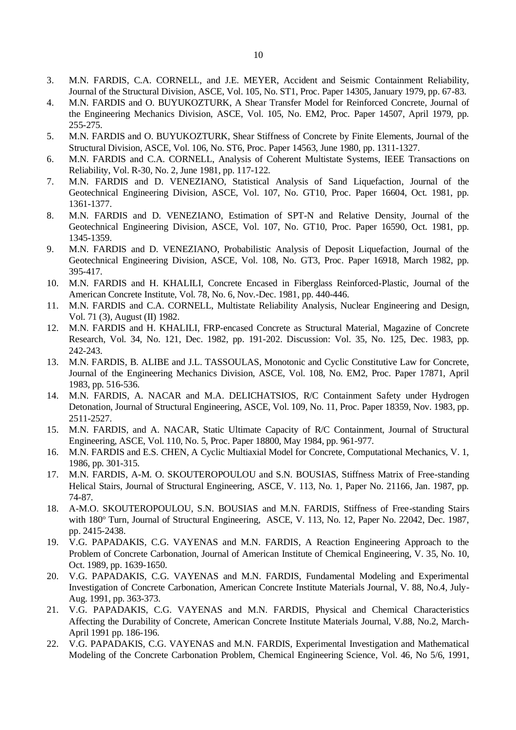- 3. M.N. FARDIS, C.A. CORNELL, and J.E. MEYER, Accident and Seismic Containment Reliability, Journal of the Structural Division, ASCE, Vol. 105, No. ST1, Proc. Paper 14305, January 1979, pp. 67-83.
- 4. M.N. FARDIS and O. BUYUKOZTURK, A Shear Transfer Model for Reinforced Concrete, Journal of the Engineering Mechanics Division, ASCE, Vol. 105, No. EM2, Proc. Paper 14507, April 1979, pp. 255-275.
- 5. M.N. FARDIS and O. BUYUKOZTURK, Shear Stiffness of Concrete by Finite Elements, Journal of the Structural Division, ASCE, Vol. 106, No. ST6, Proc. Paper 14563, June 1980, pp. 1311-1327.
- 6. M.N. FARDIS and C.A. CORNELL, Analysis of Coherent Multistate Systems, IEEE Transactions on Reliability, Vol. R-30, No. 2, June 1981, pp. 117-122.
- 7. M.N. FARDIS and D. VENEZIANO, Statistical Analysis of Sand Liquefaction, Journal of the Geotechnical Engineering Division, ASCE, Vol. 107, No. GT10, Proc. Paper 16604, Oct. 1981, pp. 1361-1377.
- 8. M.N. FARDIS and D. VENEZIANO, Estimation of SPT-N and Relative Density, Journal of the Geotechnical Engineering Division, ASCE, Vol. 107, No. GT10, Proc. Paper 16590, Oct. 1981, pp. 1345-1359.
- 9. M.N. FARDIS and D. VENEZIANO, Probabilistic Analysis of Deposit Liquefaction, Journal of the Geotechnical Engineering Division, ASCE, Vol. 108, No. GT3, Proc. Paper 16918, March 1982, pp. 395-417.
- 10. M.N. FARDIS and H. KHALILI, Concrete Encased in Fiberglass Reinforced-Plastic, Journal of the American Concrete Institute, Vol. 78, No. 6, Nov.-Dec. 1981, pp. 440-446.
- 11. M.N. FARDIS and C.A. CORNELL, Multistate Reliability Analysis, Nuclear Engineering and Design, Vol. 71 (3), August (II) 1982.
- 12. M.N. FARDIS and H. KHALILI, FRP-encased Concrete as Structural Material, Magazine of Concrete Research, Vol. 34, No. 121, Dec. 1982, pp. 191-202. Discussion: Vol. 35, No. 125, Dec. 1983, pp. 242-243.
- 13. M.N. FARDIS, B. ALIBE and J.L. TASSOULAS, Monotonic and Cyclic Constitutive Law for Concrete, Journal of the Engineering Mechanics Division, ASCE, Vol. 108, No. EM2, Proc. Paper 17871, April 1983, pp. 516-536.
- 14. M.N. FARDIS, A. NACAR and M.A. DELICHATSIOS, R/C Containment Safety under Hydrogen Detonation, Journal of Structural Engineering, ASCE, Vol. 109, No. 11, Proc. Paper 18359, Nov. 1983, pp. 2511-2527.
- 15. M.N. FARDIS, and A. NACAR, Static Ultimate Capacity of R/C Containment, Journal of Structural Engineering, ASCE, Vol. 110, No. 5, Proc. Paper 18800, May 1984, pp. 961-977.
- 16. M.N. FARDIS and E.S. CHEN, A Cyclic Multiaxial Model for Concrete, Computational Mechanics, V. 1, 1986, pp. 301-315.
- 17. M.N. FARDIS, A-M. O. SKOUTEROPOULOU and S.N. BOUSIAS, Stiffness Matrix of Free-standing Helical Stairs, Journal of Structural Engineering, ASCE, V. 113, No. 1, Paper No. 21166, Jan. 1987, pp. 74-87.
- 18. A-M.O. SKOUTEROPOULOU, S.N. BOUSIAS and M.N. FARDIS, Stiffness of Free-standing Stairs with 180<sup>o</sup> Turn, Journal of Structural Engineering, ASCE, V. 113, No. 12, Paper No. 22042, Dec. 1987, pp. 2415-2438.
- 19. V.G. PAPADAKIS, C.G. VAYENAS and M.N. FARDIS, A Reaction Engineering Approach to the Problem of Concrete Carbonation, Journal of American Institute of Chemical Engineering, V. 35, No. 10, Oct. 1989, pp. 1639-1650.
- 20. V.G. PAPADAKIS, C.G. VAYENAS and M.N. FARDIS, Fundamental Modeling and Experimental Investigation of Concrete Carbonation, American Concrete Institute Materials Journal, V. 88, No.4, July-Aug. 1991, pp. 363-373.
- 21. V.G. PAPADAKIS, C.G. VAYENAS and M.N. FARDIS, Physical and Chemical Characteristics Affecting the Durability of Concrete, American Concrete Institute Materials Journal, V.88, No.2, March-April 1991 pp. 186-196.
- 22. V.G. PAPADAKIS, C.G. VAYENAS and M.N. FARDIS, Experimental Investigation and Mathematical Modeling of the Concrete Carbonation Problem, Chemical Engineering Science, Vol. 46, No 5/6, 1991,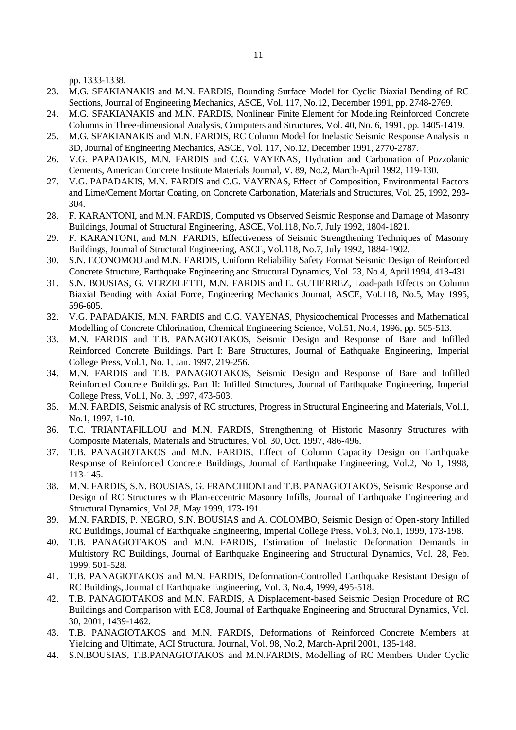pp. 1333-1338.

- 23. M.G. SFAKIANAKIS and M.N. FARDIS, Bounding Surface Model for Cyclic Biaxial Bending of RC Sections, Journal of Engineering Mechanics, ASCE, Vol. 117, No.12, December 1991, pp. 2748-2769.
- 24. M.G. SFAKIANAKIS and M.N. FARDIS, Nonlinear Finite Element for Modeling Reinforced Concrete Columns in Three-dimensional Analysis, Computers and Structures, Vol. 40, No. 6, 1991, pp. 1405-1419.
- 25. M.G. SFAKIANAKIS and M.N. FARDIS, RC Column Model for Inelastic Seismic Response Analysis in 3D, Journal of Engineering Mechanics, ASCE, Vol. 117, No.12, December 1991, 2770-2787.
- 26. V.G. PAPADAKIS, M.N. FARDIS and C.G. VAYENAS, Hydration and Carbonation of Pozzolanic Cements, American Concrete Institute Materials Journal, V. 89, No.2, March-April 1992, 119-130.
- 27. V.G. PAPADAKIS, M.N. FARDIS and C.G. VAYENAS, Effect of Composition, Environmental Factors and Lime/Cement Mortar Coating, on Concrete Carbonation, Materials and Structures, Vol. 25, 1992, 293- 304.
- 28. F. KARANTONI, and M.N. FARDIS, Computed vs Observed Seismic Response and Damage of Masonry Buildings, Journal of Structural Engineering, ASCE, Vol.118, No.7, July 1992, 1804-1821.
- 29. F. KARANTONI, and M.N. FARDIS, Effectiveness of Seismic Strengthening Techniques of Masonry Buildings, Journal of Structural Engineering, ASCE, Vol.118, No.7, July 1992, 1884-1902.
- 30. S.N. ECONOMOU and M.N. FARDIS, Uniform Reliability Safety Format Seismic Design of Reinforced Concrete Structure, Earthquake Engineering and Structural Dynamics, Vol. 23, No.4, April 1994, 413-431.
- 31. S.N. BOUSIAS, G. VERZELETTI, M.N. FARDIS and E. GUTIERREZ, Load-path Effects on Column Biaxial Bending with Axial Force, Engineering Mechanics Journal, ASCE, Vol.118, No.5, May 1995, 596-605.
- 32. V.G. PAPADAKIS, M.N. FARDIS and C.G. VAYENAS, Physicochemical Processes and Mathematical Modelling of Concrete Chlorination, Chemical Engineering Science, Vol.51, No.4, 1996, pp. 505-513.
- 33. M.N. FARDIS and T.B. PANAGIOTAKOS, Seismic Design and Response of Bare and Infilled Reinforced Concrete Buildings. Part I: Bare Structures, Journal of Eathquake Engineering, Imperial College Press, Vol.1, No. 1, Jan. 1997, 219-256.
- 34. M.N. FARDIS and T.B. PANAGIOTAKOS, Seismic Design and Response of Bare and Infilled Reinforced Concrete Buildings. Part II: Infilled Structures, Journal of Earthquake Engineering, Imperial College Press, Vol.1, No. 3, 1997, 473-503.
- 35. M.N. FARDIS, Seismic analysis of RC structures, Progress in Structural Engineering and Materials, Vol.1, No.1, 1997, 1-10.
- 36. T.C. TRIANTAFILLOU and M.N. FARDIS, Strengthening of Historic Masonry Structures with Composite Materials, Materials and Structures, Vol. 30, Oct. 1997, 486-496.
- 37. T.B. PANAGIOTAKOS and M.N. FARDIS, Effect of Column Capacity Design on Earthquake Response of Reinforced Concrete Buildings, Journal of Earthquake Engineering, Vol.2, No 1, 1998, 113-145.
- 38. M.N. FARDIS, S.N. BOUSIAS, G. FRANCHIONI and T.B. PANAGIOTAKOS, Seismic Response and Design of RC Structures with Plan-eccentric Masonry Infills, Journal of Earthquake Engineering and Structural Dynamics, Vol.28, May 1999, 173-191.
- 39. M.N. FARDIS, P. NEGRO, S.N. BOUSIAS and A. COLOMBO, Seismic Design of Open-story Infilled RC Buildings, Journal of Earthquake Engineering, Imperial College Press, Vol.3, No.1, 1999, 173-198.
- 40. T.B. PANAGIOTAKOS and M.N. FARDIS, Estimation of Inelastic Deformation Demands in Multistory RC Buildings, Journal of Earthquake Engineering and Structural Dynamics, Vol. 28, Feb. 1999, 501-528.
- 41. T.B. PANAGIOTAKOS and M.N. FARDIS, Deformation-Controlled Earthquake Resistant Design of RC Buildings, Journal of Earthquake Engineering, Vol. 3, No.4, 1999, 495-518.
- 42. T.B. PANAGIOTAKOS and M.N. FARDIS, A Displacement-based Seismic Design Procedure of RC Buildings and Comparison with EC8, Journal of Earthquake Engineering and Structural Dynamics, Vol. 30, 2001, 1439-1462.
- 43. T.B. PANAGIOTAKOS and M.N. FARDIS, Deformations of Reinforced Concrete Members at Yielding and Ultimate, ACI Structural Journal, Vol. 98, No.2, March-April 2001, 135-148.
- 44. S.N.BOUSIAS, T.B.PANAGIOTAKOS and M.N.FARDIS, Modelling of RC Members Under Cyclic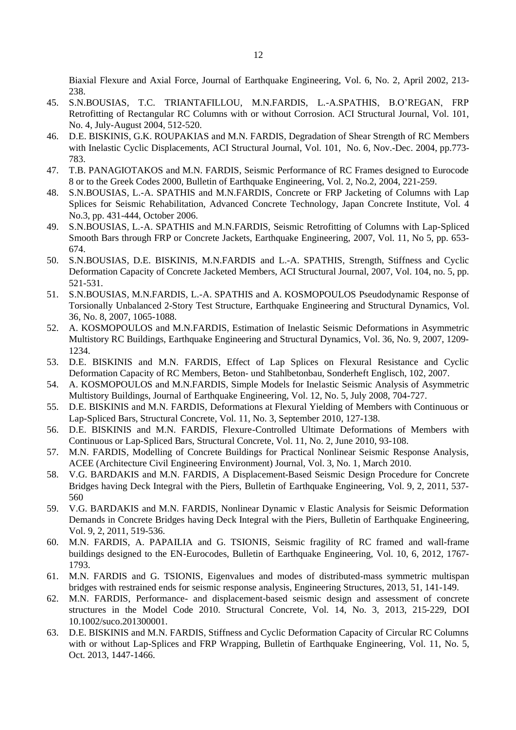Biaxial Flexure and Axial Force, Journal of Earthquake Engineering, Vol. 6, No. 2, April 2002, 213- 238.

- 45. S.N.BOUSIAS, T.C. TRIANTAFILLOU, M.N.FARDIS, L.-A.SPATHIS, B.O'REGAN, FRP Retrofitting of Rectangular RC Columns with or without Corrosion. ACI Structural Journal, Vol. 101, No. 4, July-August 2004, 512-520.
- 46. D.E. BISKINIS, G.K. ROUPAKIAS and M.N. FARDIS, Degradation of Shear Strength of RC Members with Inelastic Cyclic Displacements, ACI Structural Journal, Vol. 101, No. 6, Nov.-Dec. 2004, pp.773-783.
- 47. T.B. PANAGIOTAKOS and M.N. FARDIS, Seismic Performance of RC Frames designed to Eurocode 8 or to the Greek Codes 2000, Bulletin of Earthquake Engineering, Vol. 2, No.2, 2004, 221-259.
- 48. S.N.BOUSIAS, L.-A. SPATHIS and M.N.FARDIS, Concrete or FRP Jacketing of Columns with Lap Splices for Seismic Rehabilitation, Advanced Concrete Technology, Japan Concrete Institute, Vol. 4 No.3, pp. 431-444, October 2006.
- 49. S.N.BOUSIAS, L.-A. SPATHIS and M.N.FARDIS, Seismic Retrofitting of Columns with Lap-Spliced Smooth Bars through FRP or Concrete Jackets, Earthquake Engineering, 2007, Vol. 11, No 5, pp. 653- 674.
- 50. S.N.BOUSIAS, D.E. BISKINIS, M.N.FARDIS and L.-A. SPATHIS, Strength, Stiffness and Cyclic Deformation Capacity of Concrete Jacketed Members, ACI Structural Journal, 2007, Vol. 104, no. 5, pp. 521-531.
- 51. S.N.BOUSIAS, M.N.FARDIS, L.-A. SPATHIS and A. KOSMOPOULOS Pseudodynamic Response of Torsionally Unbalanced 2-Story Test Structure, Earthquake Engineering and Structural Dynamics, Vol. 36, No. 8, 2007, 1065-1088.
- 52. A. KOSMOPOULOS and M.N.FARDIS, Estimation of Inelastic Seismic Deformations in Asymmetric Multistory RC Buildings, Earthquake Engineering and Structural Dynamics, Vol. 36, No. 9, 2007, 1209- 1234.
- 53. D.E. BISKINIS and M.N. FARDIS, Effect of Lap Splices on Flexural Resistance and Cyclic Deformation Capacity of RC Members, Beton- und Stahlbetonbau, Sonderheft Englisch, 102, 2007.
- 54. A. KOSMOPOULOS and M.N.FARDIS, Simple Models for Inelastic Seismic Analysis of Asymmetric Multistory Buildings, Journal of Earthquake Engineering, Vol. 12, No. 5, July 2008, 704-727.
- 55. D.E. BISKINIS and M.N. FARDIS, Deformations at Flexural Yielding of Members with Continuous or Lap-Spliced Bars, Structural Concrete, Vol. 11, No. 3, September 2010, 127-138.
- 56. D.E. BISKINIS and M.N. FARDIS, Flexure-Controlled Ultimate Deformations of Members with Continuous or Lap-Spliced Bars, Structural Concrete, Vol. 11, No. 2, June 2010, 93-108.
- 57. M.N. FARDIS, Modelling of Concrete Buildings for Practical Nonlinear Seismic Response Analysis, ACEE (Architecture Civil Engineering Environment) Journal, Vol. 3, No. 1, March 2010.
- 58. V.G. BARDAKIS and M.N. FARDIS, A Displacement-Based Seismic Design Procedure for Concrete Bridges having Deck Integral with the Piers, Bulletin of Earthquake Engineering, Vol. 9, 2, 2011, 537- 560
- 59. V.G. BARDAKIS and M.N. FARDIS, Nonlinear Dynamic v Elastic Analysis for Seismic Deformation Demands in Concrete Bridges having Deck Integral with the Piers, Bulletin of Earthquake Engineering, Vol. 9, 2, 2011, 519-536.
- 60. M.N. FARDIS, A. PAPAILIA and G. TSIONIS, Seismic fragility of RC framed and wall-frame buildings designed to the EN-Eurocodes, Bulletin of Earthquake Engineering, Vol. 10, 6, 2012, 1767- 1793.
- 61. M.N. FARDIS and G. TSIONIS, Eigenvalues and modes of distributed-mass symmetric multispan bridges with restrained ends for seismic response analysis, Engineering Structures, 2013, 51, 141-149.
- 62. M.N. FARDIS, Performance- and displacement-based seismic design and assessment of concrete structures in the Model Code 2010. Structural Concrete, Vol. 14, No. 3, 2013, 215-229, DOI 10.1002/suco.201300001.
- 63. D.E. BISKINIS and M.N. FARDIS, Stiffness and Cyclic Deformation Capacity of Circular RC Columns with or without Lap-Splices and FRP Wrapping, Bulletin of Earthquake Engineering, Vol. 11, No. 5, Oct. 2013, 1447-1466.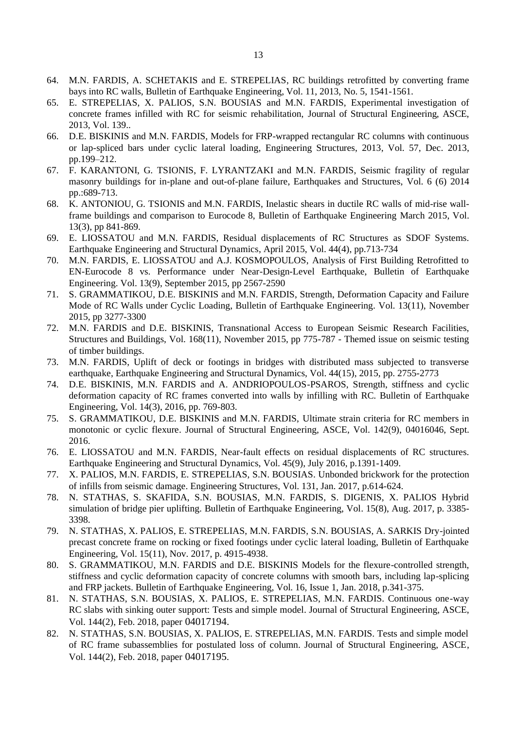- 64. M.N. FARDIS, A. SCHETAKIS and E. STREPELIAS, RC buildings retrofitted by converting frame bays into RC walls, Bulletin of Earthquake Engineering, Vol. 11, 2013, No. 5, 1541-1561.
- 65. E. STREPELIAS, X. PALIOS, S.N. BOUSIAS and M.N. FARDIS, Experimental investigation of concrete frames infilled with RC for seismic rehabilitation, Journal of Structural Engineering, ASCE, 2013, Vol. 139..
- 66. D.E. BISKINIS and M.N. FARDIS, Models for FRP-wrapped rectangular RC columns with continuous or lap-spliced bars under cyclic lateral loading, Engineering Structures, 2013, Vol. 57, Dec. 2013, pp.199–212.
- 67. F. KARANTONI, G. TSIONIS, F. LYRANTZAKI and M.N. FARDIS, Seismic fragility of regular masonry buildings for in-plane and out-of-plane failure, Earthquakes and Structures, Vol. 6 (6) 2014 pp.:689-713.
- 68. K. ANTONIOU, G. TSIONIS and M.N. FARDIS, Inelastic shears in ductile RC walls of mid-rise wallframe buildings and comparison to Eurocode 8, Bulletin of Earthquake Engineering March 2015, Vol. 13(3), pp 841-869.
- 69. E. LIOSSATOU and M.N. FARDIS, Residual displacements of RC Structures as SDOF Systems. Earthquake Engineering and Structural Dynamics, April 2015, Vol. 44(4), pp.713-734
- 70. M.N. FARDIS, E. LIOSSATOU and A.J. KOSMOPOULOS, Analysis of First Building Retrofitted to EN-Eurocode 8 vs. Performance under Near-Design-Level Earthquake, Bulletin of Earthquake Engineering. Vol. 13(9), September 2015, pp 2567-2590
- 71. S. GRAMMATIKOU, D.E. BISKINIS and M.N. FARDIS, Strength, Deformation Capacity and Failure Mode of RC Walls under Cyclic Loading, Bulletin of Earthquake Engineering. Vol. 13(11), November 2015, pp 3277-3300
- 72. M.N. FARDIS and D.E. BISKINIS, Transnational Access to European Seismic Research Facilities, Structures and Buildings, Vol. 168(11), November 2015, pp 775-787 - Themed issue on seismic testing of timber buildings.
- 73. M.N. FARDIS, Uplift of deck or footings in bridges with distributed mass subjected to transverse earthquake, Earthquake Engineering and Structural Dynamics, Vol. 44(15), 2015, pp. 2755-2773
- 74. D.E. BISKINIS, M.N. FARDIS and A. ANDRIOPOULOS-PSAROS, Strength, stiffness and cyclic deformation capacity of RC frames converted into walls by infilling with RC. Bulletin of Earthquake Engineering, Vol. 14(3), 2016, pp. 769-803.
- 75. S. GRAMMATIKOU, D.E. BISKINIS and M.N. FARDIS, Ultimate strain criteria for RC members in monotonic or cyclic flexure. Journal of Structural Engineering, ASCE, Vol. 142(9), 04016046, Sept. 2016.
- 76. E. LIOSSATOU and M.N. FARDIS, Near-fault effects on residual displacements of RC structures. Earthquake Engineering and Structural Dynamics, Vol. 45(9), July 2016, p.1391-1409.
- 77. X. PALIOS, M.N. FARDIS, E. STREPELIAS, S.N. BOUSIAS. Unbonded brickwork for the protection of infills from seismic damage. Engineering Structures, Vol. 131, Jan. 2017, p.614-624.
- 78. N. STATHAS, S. SKAFIDA, S.N. BOUSIAS, M.N. FARDIS, S. DIGENIS, X. PALIOS Hybrid simulation of bridge pier uplifting. Bulletin of Earthquake Engineering, Vol. 15(8), Aug. 2017, p. 3385- 3398.
- 79. N. STATHAS, X. PALIOS, E. STREPELIAS, M.N. FARDIS, S.N. BOUSIAS, A. SARKIS Dry-jointed precast concrete frame on rocking or fixed footings under cyclic lateral loading, Bulletin of Earthquake Engineering, Vol. 15(11), Nov. 2017, p. 4915-4938.
- 80. S. GRAMMATIKOU, M.N. FARDIS and D.E. BISKINIS Models for the flexure-controlled strength, stiffness and cyclic deformation capacity of concrete columns with smooth bars, including lap-splicing and FRP jackets. Bulletin of Earthquake Engineering, Vol. 16, Issue 1, Jan. 2018, p.341-375.
- 81. N. STATHAS, S.N. BOUSIAS, X. PALIOS, E. STREPELIAS, M.N. FARDIS. Continuous one-way RC slabs with sinking outer support: Tests and simple model. Journal of Structural Engineering, ASCE, Vol. 144(2), Feb. 2018, paper 04017194.
- 82. N. STATHAS, S.N. BOUSIAS, X. PALIOS, E. STREPELIAS, M.N. FARDIS. Tests and simple model of RC frame subassemblies for postulated loss of column. Journal of Structural Engineering, ASCE, Vol. 144(2), Feb. 2018, paper 04017195.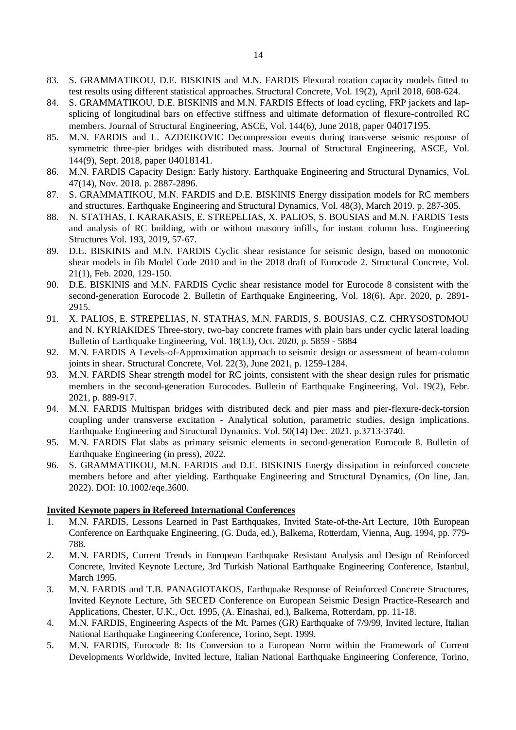- 83. S. GRAMMATIKOU, D.E. BISKINIS and M.N. FARDIS Flexural rotation capacity models fitted to test results using different statistical approaches. Structural Concrete, Vol. 19(2), April 2018, 608-624.
- 84. S. GRAMMATIKOU, D.E. BISKINIS and M.N. FARDIS Effects of load cycling, FRP jackets and lapsplicing of longitudinal bars on effective stiffness and ultimate deformation of flexure-controlled RC members. Journal of Structural Engineering, ASCE, Vol. 144(6), June 2018, paper 04017195.
- 85. M.N. FARDIS and L. AZDEJKOVIC Decompression events during transverse seismic response of symmetric three-pier bridges with distributed mass. Journal of Structural Engineering, ASCE, Vol. 144(9), Sept. 2018, paper 04018141.
- 86. M.N. FARDIS Capacity Design: Early history. Earthquake Engineering and Structural Dynamics, Vol. 47(14), Nov. 2018. p. 2887-2896.
- 87. S. GRAMMATIKOU, M.N. FARDIS and D.E. BISKINIS Energy dissipation models for RC members and structures. Earthquake Engineering and Structural Dynamics, Vol. 48(3), March 2019. p. 287-305.
- 88. N. STATHAS, I. KARAKASIS, E. STREPELIAS, X. PALIOS, S. BOUSIAS and M.N. FARDIS Tests and analysis of RC building, with or without masonry infills, for instant column loss. Engineering Structures Vol. 193, 2019, 57-67.
- 89. D.E. BISKINIS and M.N. FARDIS Cyclic shear resistance for seismic design, based on monotonic shear models in fib Model Code 2010 and in the 2018 draft of Eurocode 2. Structural Concrete, Vol. 21(1), Feb. 2020, 129-150.
- 90. D.E. BISKINIS and M.N. FARDIS Cyclic shear resistance model for Eurocode 8 consistent with the second-generation Eurocode 2. Bulletin of Earthquake Engineering, Vol. 18(6), Apr. 2020, p. 2891- 2915.
- 91. X. PALIOS, E. STREPELIAS, N. STATHAS, M.N. FARDIS, S. BOUSIAS, C.Z. CHRYSOSTOMOU and N. KYRIAKIDES Three-story, two-bay concrete frames with plain bars under cyclic lateral loading Bulletin of Earthquake Engineering, Vol. 18(13), Oct. 2020, p. 5859 - 5884
- 92. M.N. FARDIS A Levels-of-Approximation approach to seismic design or assessment of beam-column joints in shear. Structural Concrete, Vol. 22(3), June 2021, p. 1259-1284.
- 93. M.N. FARDIS Shear strength model for RC joints, consistent with the shear design rules for prismatic members in the second-generation Eurocodes. Bulletin of Earthquake Engineering, Vol. 19(2), Febr. 2021, p. 889-917.
- 94. M.N. FARDIS Multispan bridges with distributed deck and pier mass and pier-flexure-deck-torsion coupling under transverse excitation - Analytical solution, parametric studies, design implications. Earthquake Engineering and Structural Dynamics. Vol. 50(14) Dec. 2021. p.3713-3740.
- 95. M.N. FARDIS Flat slabs as primary seismic elements in second-generation Eurocode 8. Bulletin of Earthquake Engineering (in press), 2022.
- 96. S. GRAMMATIKOU, M.N. FARDIS and D.E. BISKINIS Energy dissipation in reinforced concrete members before and after yielding. Earthquake Engineering and Structural Dynamics, (On line, Jan. 2022). DOI: 10.1002/eqe.3600.

## **Invited Keynote papers in Refereed International Conferences**

- 1. M.N. FARDIS, Lessons Learned in Past Earthquakes, Invited State-of-the-Art Lecture, 10th European Conference on Earthquake Engineering, (G. Duda, ed.), Balkema, Rotterdam, Vienna, Aug. 1994, pp. 779- 788.
- 2. M.N. FARDIS, Current Trends in European Earthquake Resistant Analysis and Design of Reinforced Concrete, Invited Keynote Lecture, 3rd Turkish National Earthquake Engineering Conference, Istanbul, March 1995.
- 3. M.N. FARDIS and T.B. PANAGIOTAKOS, Earthquake Response of Reinforced Concrete Structures, Invited Keynote Lecture, 5th SECED Conference on European Seismic Design Practice-Research and Applications, Chester, U.K., Oct. 1995, (A. Elnashai, ed.), Balkema, Rotterdam, pp. 11-18.
- 4. M.N. FARDIS, Engineering Aspects of the Mt. Parnes (GR) Earthquake of 7/9/99, Invited lecture, Italian National Earthquake Engineering Conference, Torino, Sept. 1999.
- 5. M.N. FARDIS, Eurocode 8: Its Conversion to a European Norm within the Framework of Current Developments Worldwide, Invited lecture, Italian National Earthquake Engineering Conference, Torino,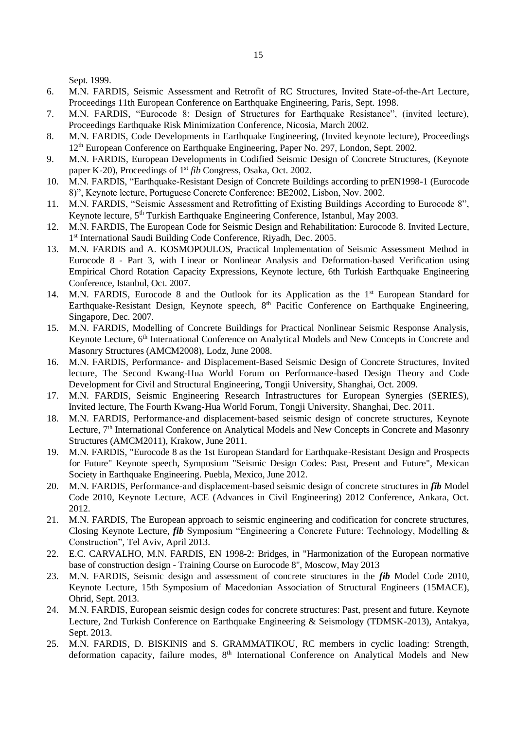Sept. 1999.

- 6. M.N. FARDIS, Seismic Assessment and Retrofit of RC Structures, Invited State-of-the-Art Lecture, Proceedings 11th European Conference on Earthquake Engineering, Paris, Sept. 1998.
- 7. M.N. FARDIS, "Eurocode 8: Design of Structures for Earthquake Resistance", (invited lecture), Proceedings Earthquake Risk Minimization Conference, Nicosia, March 2002.
- 8. M.N. FARDIS, Code Developments in Earthquake Engineering, (Invited keynote lecture), Proceedings 12th European Conference on Earthquake Engineering, Paper No. 297, London, Sept. 2002.
- 9. M.N. FARDIS, European Developments in Codified Seismic Design of Concrete Structures, (Keynote paper K-20), Proceedings of 1<sup>st</sup> *fib* Congress, Osaka, Oct. 2002.
- 10. M.N. FARDIS, "Earthquake-Resistant Design of Concrete Buildings according to prEN1998-1 (Eurocode 8)", Keynote lecture, Portuguese Concrete Conference: BE2002, Lisbon, Nov. 2002.
- 11. M.N. FARDIS, "Seismic Assessment and Retrofitting of Existing Buildings According to Eurocode 8", Keynote lecture, 5<sup>th</sup> Turkish Earthquake Engineering Conference, Istanbul, May 2003.
- 12. M.N. FARDIS, The European Code for Seismic Design and Rehabilitation: Eurocode 8. Invited Lecture, 1<sup>st</sup> International Saudi Building Code Conference, Riyadh, Dec. 2005.
- 13. M.N. FARDIS and A. KOSMOPOULOS, Practical Implementation of Seismic Assessment Method in Eurocode 8 - Part 3, with Linear or Nonlinear Analysis and Deformation-based Verification using Empirical Chord Rotation Capacity Expressions, Keynote lecture, 6th Turkish Earthquake Engineering Conference, Istanbul, Oct. 2007.
- 14. M.N. FARDIS, Eurocode 8 and the Outlook for its Application as the 1<sup>st</sup> European Standard for Earthquake-Resistant Design, Keynote speech, 8<sup>th</sup> Pacific Conference on Earthquake Engineering, Singapore, Dec. 2007.
- 15. M.N. FARDIS, Modelling of Concrete Buildings for Practical Nonlinear Seismic Response Analysis, Keynote Lecture, 6<sup>th</sup> International Conference on Analytical Models and New Concepts in Concrete and Masonry Structures (AMCM2008), Lodz, June 2008.
- 16. M.N. FARDIS, Performance- and Displacement-Based Seismic Design of Concrete Structures, Invited lecture, The Second Kwang-Hua World Forum on Performance-based Design Theory and Code Development for Civil and Structural Engineering, Tongji University, Shanghai, Oct. 2009.
- 17. M.N. FARDIS, Seismic Engineering Research Infrastructures for European Synergies (SERIES), Invited lecture, The Fourth Kwang-Hua World Forum, Tongji University, Shanghai, Dec. 2011.
- 18. M.N. FARDIS, Performance-and displacement-based seismic design of concrete structures, Keynote Lecture, 7<sup>th</sup> International Conference on Analytical Models and New Concepts in Concrete and Masonry Structures (AMCM2011), Krakow, June 2011.
- 19. M.N. FARDIS, "Eurocode 8 as the 1st European Standard for Earthquake-Resistant Design and Prospects for Future" Keynote speech, Symposium "Seismic Design Codes: Past, Present and Future", Mexican Society in Earthquake Engineering. Puebla, Mexico, June 2012.
- 20. M.N. FARDIS, Performance-and displacement-based seismic design of concrete structures in *fib* Model Code 2010, Keynote Lecture, ACE (Advances in Civil Engineering) 2012 Conference, Ankara, Oct. 2012.
- 21. M.N. FARDIS, The European approach to seismic engineering and codification for concrete structures, Closing Keynote Lecture, *fib* Symposium "Engineering a Concrete Future: Technology, Modelling & Construction", Tel Aviv, April 2013.
- 22. E.C. CARVALHO, M.N. FARDIS, EN 1998-2: Bridges, in "Harmonization of the European normative base of construction design - Training Course on Eurocode 8", Moscow, May 2013
- 23. M.N. FARDIS, Seismic design and assessment of concrete structures in the *fib* Model Code 2010, Keynote Lecture, 15th Symposium of Macedonian Association of Structural Engineers (15MACE), Ohrid, Sept. 2013.
- 24. M.N. FARDIS, European seismic design codes for concrete structures: Past, present and future. Keynote Lecture, 2nd Turkish Conference on Earthquake Engineering & Seismology (TDMSK-2013), Antakya, Sept. 2013.
- 25. M.N. FARDIS, D. BISKINIS and S. GRAMMATIKOU, RC members in cyclic loading: Strength, deformation capacity, failure modes, 8<sup>th</sup> International Conference on Analytical Models and New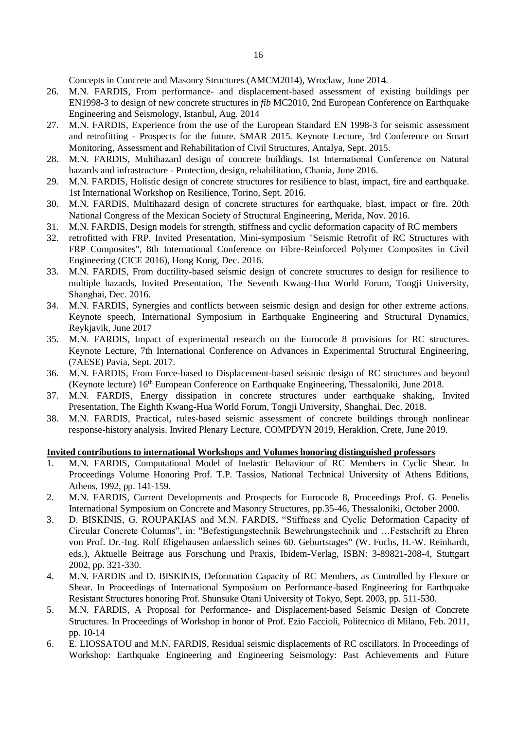Concepts in Concrete and Masonry Structures (AMCM2014), Wroclaw, June 2014.

- 26. M.N. FARDIS, From performance- and displacement-based assessment of existing buildings per EN1998-3 to design of new concrete structures in *fib* MC2010, 2nd European Conference on Earthquake Engineering and Seismology, Istanbul, Aug. 2014
- 27. M.N. FARDIS, Experience from the use of the European Standard EN 1998-3 for seismic assessment and retrofitting - Prospects for the future. SMAR 2015. Keynote Lecture, 3rd Conference on Smart Monitoring, Assessment and Rehabilitation of Civil Structures, Antalya, Sept. 2015.
- 28. M.N. FARDIS, Multihazard design of concrete buildings. 1st International Conference on Νatural hazards and infrastructure - Protection, design, rehabilitation, Chania, June 2016.
- 29. M.N. FARDIS, Holistic design of concrete structures for resilience to blast, impact, fire and earthquake. 1st International Workshop on Resilience, Torino, Sept. 2016.
- 30. M.N. FARDIS, Multihazard design of concrete structures for earthquake, blast, impact or fire. 20th National Congress of the Mexican Society of Structural Engineering, Merida, Nov. 2016.
- 31. M.N. FARDIS, Design models for strength, stiffness and cyclic deformation capacity of RC members
- 32. retrofitted with FRP. Invited Presentation, Μini-symposium "Seismic Retrofit of RC Structures with FRP Composites", 8th International Conference on Fibre-Reinforced Polymer Composites in Civil Engineering (CICE 2016), Hong Kong, Dec. 2016.
- 33. M.N. FARDIS, From ductility-based seismic design of concrete structures to design for resilience to multiple hazards, Invited Presentation, The Seventh Kwang-Hua World Forum, Tongji University, Shanghai, Dec. 2016.
- 34. M.N. FARDIS, Synergies and conflicts between seismic design and design for other extreme actions. Keynote speech, International Symposium in Earthquake Engineering and Structural Dynamics, Reykjavik, June 2017
- 35. M.N. FARDIS, Impact of experimental research on the Eurocode 8 provisions for RC structures. Keynote Lecture, 7th International Conference on Advances in Experimental Structural Engineering, (7AESE) Pavia, Sept. 2017.
- 36. M.N. FARDIS, From Force-based to Displacement-based seismic design of RC structures and beyond (Keynote lecture) 16<sup>th</sup> European Conference on Earthquake Engineering, Thessaloniki, June 2018.
- 37. M.N. FARDIS, Energy dissipation in concrete structures under earthquake shaking, Invited Presentation, The Eighth Kwang-Hua World Forum, Tongji University, Shanghai, Dec. 2018.
- 38. M.N. FARDIS, Practical, rules-based seismic assessment of concrete buildings through nonlinear response-history analysis. Invited Plenary Lecture, COMPDYN 2019, Heraklion, Crete, June 2019.

## **Invited contributions to international Workshops and Volumes honoring distinguished professors**

- 1. M.N. FARDIS, Computational Model of Inelastic Behaviour of RC Members in Cyclic Shear. In Proceedings Volume Honoring Prof. T.P. Tassios, National Technical University of Athens Editions, Athens, 1992, pp. 141-159.
- 2. M.N. FARDIS, Current Developments and Prospects for Eurocode 8, Proceedings Prof. G. Penelis International Symposium on Concrete and Masonry Structures, pp.35-46, Thessaloniki, October 2000.
- 3. D. BISKINIS, G. ROUPAKIAS and M.N. FARDIS, "Stiffness and Cyclic Deformation Capacity of Circular Concrete Columns", in: "Befestigungstechnik Bewehrungstechnik und …Festschrift zu Ehren von Prof. Dr.-Ing. Rolf Eligehausen anlaesslich seines 60. Geburtstages" (W. Fuchs, H.-W. Reinhardt, eds.), Aktuelle Beitrage aus Forschung und Praxis, Ibidem-Verlag, ISBN: 3-89821-208-4, Stuttgart 2002, pp. 321-330.
- 4. M.N. FARDIS and D. BISKINIS, Deformation Capacity of RC Members, as Controlled by Flexure or Shear. In Proceedings of International Symposium on Performance-based Engineering for Earthquake Resistant Structures honoring Prof. Shunsuke Otani University of Tokyo, Sept. 2003, pp. 511-530.
- 5. M.N. FARDIS, A Proposal for Performance- and Displacement-based Seismic Design of Concrete Structures. In Proceedings of Workshop in honor of Prof. Ezio Faccioli, Politecnico di Milano, Feb. 2011, pp. 10-14
- 6. E. LIOSSATOU and M.N. FARDIS, Residual seismic displacements of RC oscillators. In Proceedings of Workshop: Earthquake Engineering and Engineering Seismology: Past Achievements and Future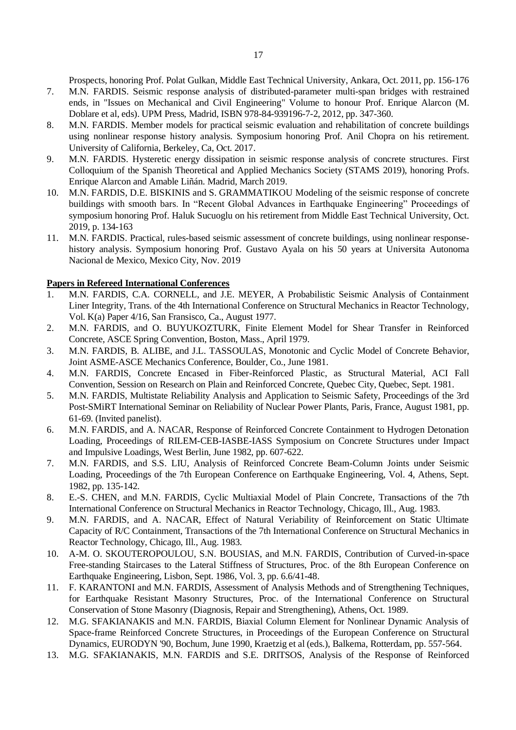Prospects, honoring Prof. Polat Gulkan, Middle East Technical University, Ankara, Oct. 2011, pp. 156-176

- 7. M.N. FARDIS. Seismic response analysis of distributed-parameter multi-span bridges with restrained ends, in "Issues on Mechanical and Civil Engineering" Volume to honour Prof. Enrique Alarcon (M. Doblare et al, eds). UPM Press, Madrid, ISBN 978-84-939196-7-2, 2012, pp. 347-360.
- 8. M.N. FARDIS. Member models for practical seismic evaluation and rehabilitation of concrete buildings using nonlinear response history analysis. Symposium honoring Prof. Anil Chopra on his retirement. University of California, Berkeley, Ca, Oct. 2017.
- 9. M.N. FARDIS. Hysteretic energy dissipation in seismic response analysis of concrete structures. First Colloquium of the Spanish Theoretical and Applied Mechanics Society (STAMS 2019), honoring Profs. Enrique Alarcon and Amable Liñán. Madrid, March 2019.
- 10. M.N. FARDIS, D.E. BISKINIS and S. GRAMMATIKOU Modeling of the seismic response of concrete buildings with smooth bars. In "Recent Global Advances in Earthquake Engineering" Proceedings of symposium honoring Prof. Haluk Sucuoglu on his retirement from Middle East Technical University, Oct. 2019, p. 134-163
- 11. M.N. FARDIS. Practical, rules-based seismic assessment of concrete buildings, using nonlinear responsehistory analysis. Symposium honoring Prof. Gustavo Ayala on his 50 years at Universita Autonoma Nacional de Mexico, Mexico City, Nov. 2019

## **Papers in Refereed International Conferences**

- 1. M.N. FARDIS, C.A. CORNELL, and J.E. MEYER, A Probabilistic Seismic Analysis of Containment Liner Integrity, Trans. of the 4th International Conference on Structural Mechanics in Reactor Technology, Vol. K(a) Paper 4/16, San Fransisco, Ca., August 1977.
- 2. M.N. FARDIS, and O. BUYUKOZTURK, Finite Element Model for Shear Transfer in Reinforced Concrete, ASCE Spring Convention, Boston, Mass., April 1979.
- 3. M.N. FARDIS, B. ALIBE, and J.L. TASSOULAS, Monotonic and Cyclic Model of Concrete Behavior, Joint ASME-ASCE Mechanics Conference, Boulder, Co., June 1981.
- 4. M.N. FARDIS, Concrete Encased in Fiber-Reinforced Plastic, as Structural Material, ACI Fall Convention, Session on Research on Plain and Reinforced Concrete, Quebec City, Quebec, Sept. 1981.
- 5. M.N. FARDIS, Multistate Reliability Analysis and Application to Seismic Safety, Proceedings of the 3rd Post-SMiRT International Seminar on Reliability of Nuclear Power Plants, Paris, France, August 1981, pp. 61-69. (Invited panelist).
- 6. M.N. FARDIS, and A. NACAR, Response of Reinforced Concrete Containment to Hydrogen Detonation Loading, Proceedings of RILEM-CEB-IASBE-IASS Symposium on Concrete Structures under Impact and Impulsive Loadings, West Berlin, June 1982, pp. 607-622.
- 7. M.N. FARDIS, and S.S. LIU, Analysis of Reinforced Concrete Beam-Column Joints under Seismic Loading, Proceedings of the 7th European Conference on Earthquake Engineering, Vol. 4, Athens, Sept. 1982, pp. 135-142.
- 8. E.-S. CHEN, and M.N. FARDIS, Cyclic Multiaxial Model of Plain Concrete, Transactions of the 7th International Conference on Structural Mechanics in Reactor Technology, Chicago, Ill., Aug. 1983.
- 9. M.N. FARDIS, and A. NACAR, Effect of Natural Veriability of Reinforcement on Static Ultimate Capacity of R/C Containment, Transactions of the 7th International Conference on Structural Mechanics in Reactor Technology, Chicago, Ill., Aug. 1983.
- 10. A-M. O. SKOUTEROPOULOU, S.N. BOUSIAS, and M.N. FARDIS, Contribution of Curved-in-space Free-standing Staircases to the Lateral Stiffness of Structures, Proc. of the 8th European Conference on Earthquake Engineering, Lisbon, Sept. 1986, Vol. 3, pp. 6.6/41-48.
- 11. F. KARANTONI and M.N. FARDIS, Assessment of Analysis Methods and of Strengthening Techniques, for Earthquake Resistant Masonry Structures, Proc. of the International Conference on Structural Conservation of Stone Masonry (Diagnosis, Repair and Strengthening), Athens, Oct. 1989.
- 12. M.G. SFAKIANAKIS and M.N. FARDIS, Biaxial Column Element for Nonlinear Dynamic Analysis of Space-frame Reinforced Concrete Structures, in Proceedings of the European Conference on Structural Dynamics, EURODYN '90, Bochum, June 1990, Kraetzig et al (eds.), Balkema, Rotterdam, pp. 557-564.
- 13. M.G. SFAKIANAKIS, M.N. FARDIS and S.E. DRITSOS, Analysis of the Response of Reinforced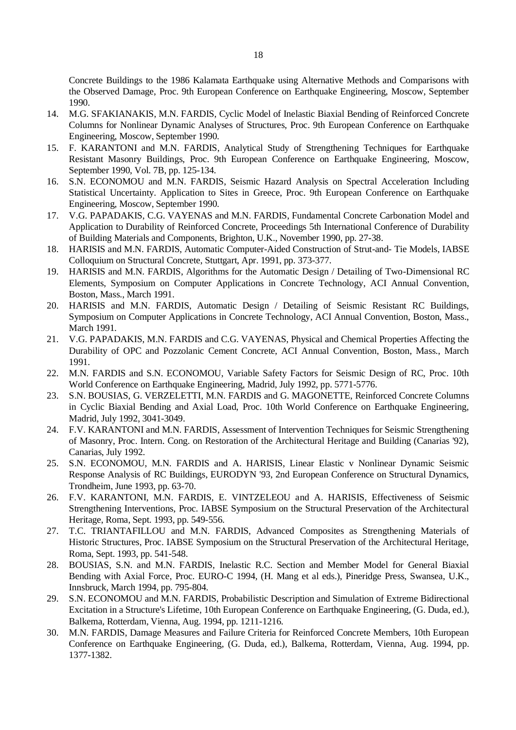Concrete Buildings to the 1986 Kalamata Earthquake using Alternative Methods and Comparisons with the Observed Damage, Proc. 9th European Conference on Earthquake Engineering, Moscow, September 1990.

- 14. M.G. SFAKIANAKIS, M.N. FARDIS, Cyclic Model of Inelastic Biaxial Bending of Reinforced Concrete Columns for Nonlinear Dynamic Analyses of Structures, Proc. 9th European Conference on Earthquake Engineering, Moscow, September 1990.
- 15. F. KARANTONI and M.N. FARDIS, Analytical Study of Strengthening Techniques for Earthquake Resistant Masonry Buildings, Proc. 9th European Conference on Earthquake Engineering, Moscow, September 1990, Vol. 7B, pp. 125-134.
- 16. S.N. ECONOMOU and M.N. FARDIS, Seismic Hazard Analysis on Spectral Acceleration Including Statistical Uncertainty. Application to Sites in Greece, Proc. 9th European Conference on Earthquake Engineering, Moscow, September 1990.
- 17. V.G. PAPADAKIS, C.G. VAYENAS and M.N. FARDIS, Fundamental Concrete Carbonation Model and Application to Durability of Reinforced Concrete, Proceedings 5th International Conference of Durability of Building Materials and Components, Brighton, U.K., November 1990, pp. 27-38.
- 18. HARISIS and M.N. FARDIS, Automatic Computer-Aided Construction of Strut-and- Tie Models, IABSE Colloquium on Structural Concrete, Stuttgart, Apr. 1991, pp. 373-377.
- 19. HARISIS and M.N. FARDIS, Algorithms for the Automatic Design / Detailing of Two-Dimensional RC Elements, Symposium on Computer Applications in Concrete Technology, ACI Annual Convention, Boston, Mass., March 1991.
- 20. HARISIS and M.N. FARDIS, Automatic Design / Detailing of Seismic Resistant RC Buildings, Symposium on Computer Applications in Concrete Technology, ACI Annual Convention, Boston, Mass., March 1991.
- 21. V.G. PAPADAKIS, M.N. FARDIS and C.G. VAYENAS, Physical and Chemical Properties Affecting the Durability of OPC and Pozzolanic Cement Concrete, ACI Annual Convention, Boston, Mass., March 1991.
- 22. M.N. FARDIS and S.N. ECONOMOU, Variable Safety Factors for Seismic Design of RC, Proc. 10th World Conference on Earthquake Engineering, Madrid, July 1992, pp. 5771-5776.
- 23. S.N. BOUSIAS, G. VERZELETTI, M.N. FARDIS and G. MAGONETTE, Reinforced Concrete Columns in Cyclic Biaxial Bending and Axial Load, Proc. 10th World Conference on Earthquake Engineering, Madrid, July 1992, 3041-3049.
- 24. F.V. KARANTONI and M.N. FARDIS, Assessment of Intervention Techniques for Seismic Strengthening of Masonry, Proc. Intern. Cong. on Restoration of the Architectural Heritage and Building (Canarias '92), Canarias, July 1992.
- 25. S.N. ECONOMOU, M.N. FARDIS and A. HARISIS, Linear Elastic v Nonlinear Dynamic Seismic Response Analysis of RC Buildings, EURODYN '93, 2nd European Conference on Structural Dynamics, Trondheim, June 1993, pp. 63-70.
- 26. F.V. KARANTONI, M.N. FARDIS, E. VINTZELEOU and A. HARISIS, Effectiveness of Seismic Strengthening Interventions, Proc. IABSE Symposium on the Structural Preservation of the Architectural Heritage, Roma, Sept. 1993, pp. 549-556.
- 27. T.C. TRIANTAFILLOU and M.N. FARDIS, Advanced Composites as Strengthening Materials of Historic Structures, Proc. IABSE Symposium on the Structural Preservation of the Architectural Heritage, Roma, Sept. 1993, pp. 541-548.
- 28. BOUSIAS, S.N. and M.N. FARDIS, Inelastic R.C. Section and Member Model for General Biaxial Bending with Axial Force, Proc. EURO-C 1994, (H. Mang et al eds.), Pineridge Press, Swansea, U.K., Innsbruck, March 1994, pp. 795-804.
- 29. S.N. ECONOMOU and M.N. FARDIS, Probabilistic Description and Simulation of Extreme Bidirectional Excitation in a Structure's Lifetime, 10th European Conference on Earthquake Engineering, (G. Duda, ed.), Balkema, Rotterdam, Vienna, Aug. 1994, pp. 1211-1216.
- 30. M.N. FARDIS, Damage Measures and Failure Criteria for Reinforced Concrete Members, 10th European Conference on Earthquake Engineering, (G. Duda, ed.), Balkema, Rotterdam, Vienna, Aug. 1994, pp. 1377-1382.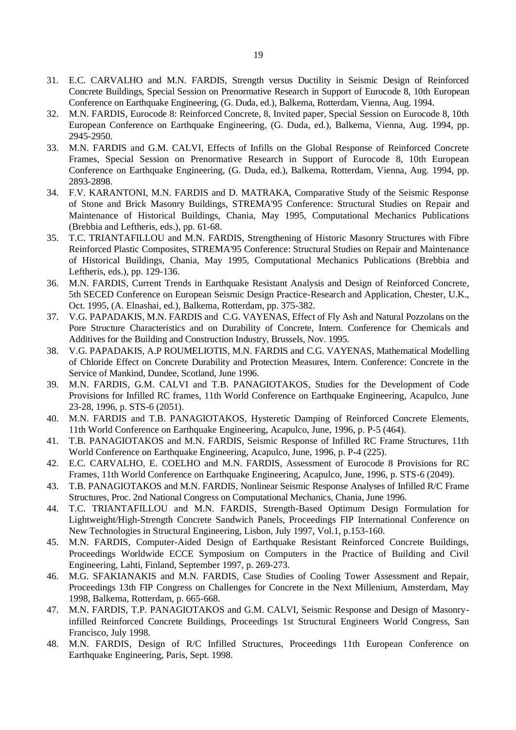- 31. E.C. CARVALHO and M.N. FARDIS, Strength versus Ductility in Seismic Design of Reinforced Concrete Buildings, Special Session on Prenormative Research in Support of Eurocode 8, 10th European Conference on Earthquake Engineering, (G. Duda, ed.), Balkema, Rotterdam, Vienna, Aug. 1994.
- 32. M.N. FARDIS, Eurocode 8: Reinforced Concrete, 8, Invited paper, Special Session on Eurocode 8, 10th European Conference on Earthquake Engineering, (G. Duda, ed.), Balkema, Vienna, Aug. 1994, pp. 2945-2950.
- 33. M.N. FARDIS and G.M. CALVI, Effects of Infills on the Global Response of Reinforced Concrete Frames, Special Session on Prenormative Research in Support of Eurocode 8, 10th European Conference on Earthquake Engineering, (G. Duda, ed.), Balkema, Rotterdam, Vienna, Aug. 1994, pp. 2893-2898.
- 34. F.V. KARANTONI, M.N. FARDIS and D. MATRAKA, Comparative Study of the Seismic Response of Stone and Brick Masonry Buildings, STREMA'95 Conference: Structural Studies on Repair and Maintenance of Historical Buildings, Chania, May 1995, Computational Mechanics Publications (Brebbia and Leftheris, eds.), pp. 61-68.
- 35. T.C. TRIANTAFILLOU and M.N. FARDIS, Strengthening of Historic Masonry Structures with Fibre Reinforced Plastic Composites, STREMA'95 Conference: Structural Studies on Repair and Maintenance of Historical Buildings, Chania, May 1995, Computational Mechanics Publications (Brebbia and Leftheris, eds.), pp. 129-136.
- 36. M.N. FARDIS, Current Trends in Earthquake Resistant Analysis and Design of Reinforced Concrete, 5th SECED Conference on European Seismic Design Practice-Research and Application, Chester, U.K., Oct. 1995, (A. Elnashai, ed.), Balkema, Rotterdam, pp. 375-382.
- 37. V.G. PAPADAKIS, M.N. FARDIS and C.G. VAYENAS, Effect of Fly Ash and Natural Pozzolans on the Pore Structure Characteristics and on Durability of Concrete, Intern. Conference for Chemicals and Additives for the Building and Construction Industry, Brussels, Nov. 1995.
- 38. V.G. PAPADAKIS, A.P ROUMELIOTIS, M.N. FARDIS and C.G. VAYENAS, Mathematical Modelling of Chloride Effect on Concrete Durability and Protection Measures, Intern. Conference: Concrete in the Service of Mankind, Dundee, Scotland, June 1996.
- 39. M.N. FARDIS, G.M. CALVI and T.B. PANAGIOTAKOS, Studies for the Development of Code Provisions for Infilled RC frames, 11th World Conference on Earthquake Engineering, Acapulco, June 23-28, 1996, p. STS-6 (2051).
- 40. M.N. FARDIS and T.B. PANAGIOTAKOS, Hysteretic Damping of Reinforced Concrete Elements, 11th World Conference on Earthquake Engineering, Acapulco, June, 1996, p. P-5 (464).
- 41. T.B. PANAGIOTAKOS and M.N. FARDIS, Seismic Response of Infilled RC Frame Structures, 11th World Conference on Earthquake Engineering, Acapulco, June, 1996, p. P-4 (225).
- 42. E.C. CARVALHO, E. COELHO and M.N. FARDIS, Assessment of Eurocode 8 Provisions for RC Frames, 11th World Conference on Earthquake Engineering, Acapulco, June, 1996, p. STS-6 (2049).
- 43. T.B. PANAGIOTAKOS and M.N. FARDIS, Nonlinear Seismic Response Analyses of Infilled R/C Frame Structures, Proc. 2nd National Congress on Computational Mechanics, Chania, June 1996.
- 44. T.C. TRIANTAFILLOU and M.N. FARDIS, Strength-Based Optimum Design Formulation for Lightweight/High-Strength Concrete Sandwich Panels, Proceedings FIP International Conference on New Technologies in Structural Engineering, Lisbon, July 1997, Vol.1, p.153-160.
- 45. M.N. FARDIS, Computer-Aided Design of Earthquake Resistant Reinforced Concrete Buildings, Proceedings Worldwide ECCE Symposium on Computers in the Practice of Building and Civil Engineering, Lahti, Finland, September 1997, p. 269-273.
- 46. M.G. SFAKIANAKIS and M.N. FARDIS, Case Studies of Cooling Tower Assessment and Repair, Proceedings 13th FIP Congress on Challenges for Concrete in the Next Millenium, Amsterdam, May 1998, Balkema, Rotterdam, p. 665-668.
- 47. M.N. FARDIS, T.P. PANAGIOTAKOS and G.M. CALVI, Seismic Response and Design of Masonryinfilled Reinforced Concrete Buildings, Proceedings 1st Structural Engineers World Congress, San Francisco, July 1998.
- 48. M.N. FARDIS, Design of R/C Infilled Structures, Proceedings 11th European Conference on Earthquake Engineering, Paris, Sept. 1998.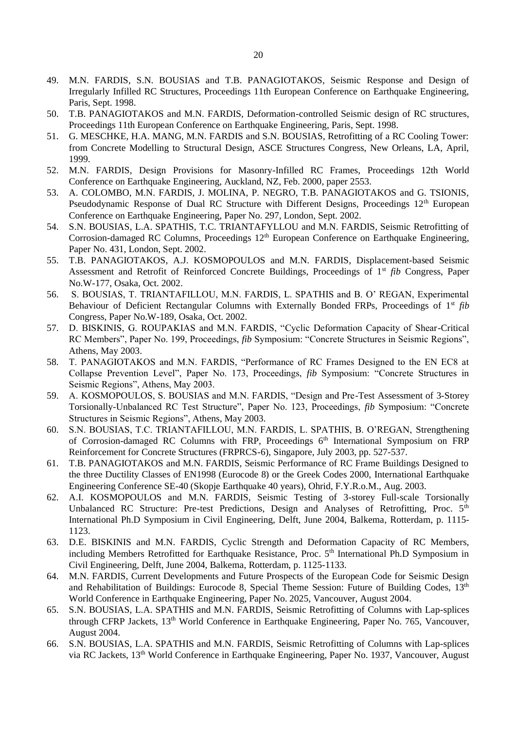- 49. M.N. FARDIS, S.N. BOUSIAS and T.B. PANAGIOTAKOS, Seismic Response and Design of Irregularly Infilled RC Structures, Proceedings 11th European Conference on Earthquake Engineering, Paris, Sept. 1998.
- 50. T.B. PANAGIOTAKOS and M.N. FARDIS, Deformation-controlled Seismic design of RC structures, Proceedings 11th European Conference on Earthquake Engineering, Paris, Sept. 1998.
- 51. G. MESCHKE, H.A. MANG, M.N. FARDIS and S.N. BOUSIAS, Retrofitting of a RC Cooling Tower: from Concrete Modelling to Structural Design, ASCE Structures Congress, New Orleans, LA, April, 1999.
- 52. M.N. FARDIS, Design Provisions for Masonry-Infilled RC Frames, Proceedings 12th World Conference on Earthquake Engineering, Auckland, NZ, Feb. 2000, paper 2553.
- 53. A. COLOMBO, M.N. FARDIS, J. MOLINA, P. NEGRO, T.B. PANAGIOTAKOS and G. TSIONIS, Pseudodynamic Response of Dual RC Structure with Different Designs, Proceedings 12<sup>th</sup> European Conference on Earthquake Engineering, Paper No. 297, London, Sept. 2002.
- 54. S.N. BOUSIAS, L.A. SPATHIS, T.C. TRIANTAFYLLOU and M.N. FARDIS, Seismic Retrofitting of Corrosion-damaged RC Columns, Proceedings 12<sup>th</sup> European Conference on Earthquake Engineering, Paper No. 431, London, Sept. 2002.
- 55. T.B. PANAGIOTAKOS, A.J. KOSMOPOULOS and M.N. FARDIS, Displacement-based Seismic Assessment and Retrofit of Reinforced Concrete Buildings, Proceedings of 1<sup>st</sup> *fib* Congress, Paper No.W-177, Osaka, Oct. 2002.
- 56. S. BOUSIAS, T. TRIANTAFILLOU, M.N. FARDIS, L. SPATHIS and B. O' REGAN, Experimental Behaviour of Deficient Rectangular Columns with Externally Bonded FRPs, Proceedings of 1<sup>st</sup> *fib* Congress, Paper No.W-189, Osaka, Oct. 2002.
- 57. D. BISKINIS, G. ROUPAKIAS and M.N. FARDIS, "Cyclic Deformation Capacity of Shear-Critical RC Members", Paper No. 199, Proceedings, *fib* Symposium: "Concrete Structures in Seismic Regions", Athens, May 2003.
- 58. T. PANAGIOTAKOS and M.N. FARDIS, "Performance of RC Frames Designed to the EN EC8 at Collapse Prevention Level", Paper No. 173, Proceedings, *fib* Symposium: "Concrete Structures in Seismic Regions", Athens, May 2003.
- 59. A. KOSMOPOULOS, S. BOUSIAS and M.N. FARDIS, "Design and Pre-Test Assessment of 3-Storey Torsionally-Unbalanced RC Test Structure", Paper No. 123, Proceedings, *fib* Symposium: "Concrete Structures in Seismic Regions", Athens, May 2003.
- 60. S.N. BOUSIAS, T.C. TRIANTAFILLOU, M.N. FARDIS, L. SPATHIS, B. O'REGAN, Strengthening of Corrosion-damaged RC Columns with FRP, Proceedings 6<sup>th</sup> International Symposium on FRP Reinforcement for Concrete Structures (FRPRCS-6), Singapore, July 2003, pp. 527-537.
- 61. T.B. PANAGIOTAKOS and M.N. FARDIS, Seismic Performance of RC Frame Buildings Designed to the three Ductility Classes of EN1998 (Eurocode 8) or the Greek Codes 2000, International Earthquake Engineering Conference SE-40 (Skopje Earthquake 40 years), Ohrid, F.Y.R.o.M., Aug. 2003.
- 62. A.I. KOSMOPOULOS and M.N. FARDIS, Seismic Testing of 3-storey Full-scale Torsionally Unbalanced RC Structure: Pre-test Predictions, Design and Analyses of Retrofitting, Proc. 5<sup>th</sup> International Ph.D Symposium in Civil Engineering, Delft, June 2004, Balkema, Rotterdam, p. 1115- 1123.
- 63. D.E. BISKINIS and M.N. FARDIS, Cyclic Strength and Deformation Capacity of RC Members, including Members Retrofitted for Earthquake Resistance, Proc. 5<sup>th</sup> International Ph.D Symposium in Civil Engineering, Delft, June 2004, Balkema, Rotterdam, p. 1125-1133.
- 64. M.N. FARDIS, Current Developments and Future Prospects of the European Code for Seismic Design and Rehabilitation of Buildings: Eurocode 8, Special Theme Session: Future of Building Codes, 13<sup>th</sup> World Conference in Earthquake Engineering, Paper No. 2025, Vancouver, August 2004.
- 65. S.N. BOUSIAS, L.A. SPATHIS and M.N. FARDIS, Seismic Retrofitting of Columns with Lap-splices through CFRP Jackets, 13th World Conference in Earthquake Engineering, Paper No. 765, Vancouver, August 2004.
- 66. S.N. BOUSIAS, L.A. SPATHIS and M.N. FARDIS, Seismic Retrofitting of Columns with Lap-splices via RC Jackets, 13th World Conference in Earthquake Engineering, Paper No. 1937, Vancouver, August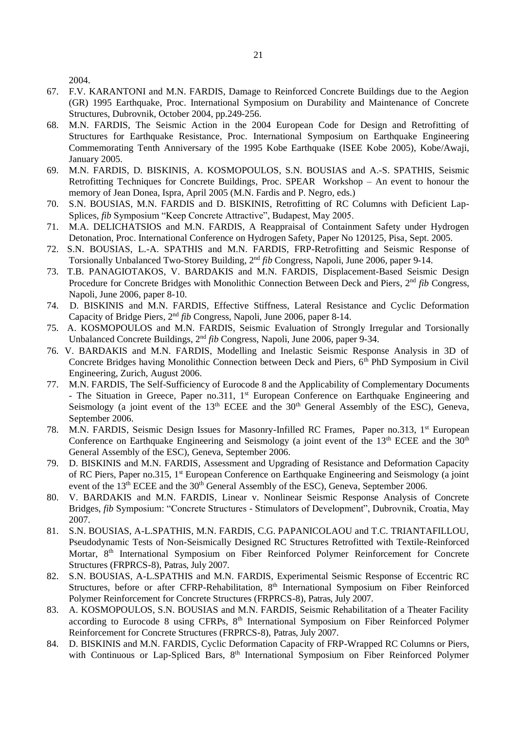2004.

- 67. F.V. KARANTONI and M.N. FARDIS, Damage to Reinforced Concrete Buildings due to the Aegion (GR) 1995 Earthquake, Proc. International Symposium on Durability and Maintenance of Concrete Structures, Dubrovnik, October 2004, pp.249-256.
- 68. M.N. FARDIS, The Seismic Action in the 2004 European Code for Design and Retrofitting of Structures for Earthquake Resistance, Proc. International Symposium on Earthquake Engineering Commemorating Tenth Anniversary of the 1995 Kobe Earthquake (ISEE Kobe 2005), Kobe/Awaji, January 2005.
- 69. M.N. FARDIS, D. BISKINIS, A. KOSMOPOULOS, S.N. BOUSIAS and A.-S. SPATHIS, Seismic Retrofitting Techniques for Concrete Buildings, Proc. SPEAR Workshop – An event to honour the memory of Jean Donea, Ispra, April 2005 (M.N. Fardis and P. Negro, eds.)
- 70. S.N. BOUSIAS, M.N. FARDIS and D. BISKINIS, Retrofitting of RC Columns with Deficient Lap-Splices, *fib* Symposium "Keep Concrete Attractive", Budapest, May 2005.
- 71. M.A. DELICHATSIOS and M.N. FARDIS, A Reappraisal of Containment Safety under Hydrogen Detonation, Proc. International Conference on Hydrogen Safety, Paper No 120125, Pisa, Sept. 2005.
- 72. S.N. BOUSIAS, L.-A. SPATHIS and M.N. FARDIS, FRP-Retrofitting and Seismic Response of Torsionally Unbalanced Two-Storey Building, 2nd *fib* Congress, Napoli, June 2006, paper 9-14.
- 73. T.B. PANAGIOTAKOS, V. BARDAKIS and M.N. FARDIS, Displacement-Based Seismic Design Procedure for Concrete Bridges with Monolithic Connection Between Deck and Piers, 2nd *fib* Congress, Napoli, June 2006, paper 8-10.
- 74. D. BISKINIS and M.N. FARDIS, Effective Stiffness, Lateral Resistance and Cyclic Deformation Capacity of Bridge Piers, 2nd *fib* Congress, Napoli, June 2006, paper 8-14.
- 75. A. KOSMOPOULOS and M.N. FARDIS, Seismic Evaluation of Strongly Irregular and Torsionally Unbalanced Concrete Buildings, 2<sup>nd</sup> *fib* Congress, Napoli, June 2006, paper 9-34.
- 76. V. BARDAKIS and M.N. FARDIS, Modelling and Inelastic Seismic Response Analysis in 3D of Concrete Bridges having Monolithic Connection between Deck and Piers, 6<sup>th</sup> PhD Symposium in Civil Engineering, Zurich, August 2006.
- 77. M.N. FARDIS, The Self-Sufficiency of Eurocode 8 and the Applicability of Complementary Documents - The Situation in Greece, Paper no.311, 1<sup>st</sup> European Conference on Earthquake Engineering and Seismology (a joint event of the 13<sup>th</sup> ECEE and the 30<sup>th</sup> General Assembly of the ESC), Geneva, September 2006.
- 78. M.N. FARDIS, Seismic Design Issues for Masonry-Infilled RC Frames, Paper no.313, 1<sup>st</sup> European Conference on Earthquake Engineering and Seismology (a joint event of the  $13<sup>th</sup> ECEE$  and the  $30<sup>th</sup>$ General Assembly of the ESC), Geneva, September 2006.
- 79. D. BISKINIS and M.N. FARDIS, Assessment and Upgrading of Resistance and Deformation Capacity of RC Piers, Paper no.315, 1<sup>st</sup> European Conference on Earthquake Engineering and Seismology (a joint event of the 13<sup>th</sup> ECEE and the 30<sup>th</sup> General Assembly of the ESC), Geneva, September 2006.
- 80. V. BARDAKIS and M.N. FARDIS, Linear v. Nonlinear Seismic Response Analysis of Concrete Bridges, *fib* Symposium: "Concrete Structures - Stimulators of Development", Dubrovnik, Croatia, May 2007.
- 81. S.N. BOUSIAS, A-L.SPATHIS, M.N. FARDIS, C.G. PAPANICOLAOU and T.C. TRIANTAFILLOU, Pseudodynamic Tests of Non-Seismically Designed RC Structures Retrofitted with Textile-Reinforced Mortar, 8th International Symposium on Fiber Reinforced Polymer Reinforcement for Concrete Structures (FRPRCS-8), Patras, July 2007.
- 82. S.N. BOUSIAS, A-L.SPATHIS and M.N. FARDIS, Experimental Seismic Response of Eccentric RC Structures, before or after CFRP-Rehabilitation, 8<sup>th</sup> International Symposium on Fiber Reinforced Polymer Reinforcement for Concrete Structures (FRPRCS-8), Patras, July 2007.
- 83. A. KOSMOPOULOS, S.N. BOUSIAS and M.N. FARDIS, Seismic Rehabilitation of a Theater Facility according to Eurocode 8 using CFRPs, 8<sup>th</sup> International Symposium on Fiber Reinforced Polymer Reinforcement for Concrete Structures (FRPRCS-8), Patras, July 2007.
- 84. D. BISKINIS and M.N. FARDIS, Cyclic Deformation Capacity of FRP-Wrapped RC Columns or Piers, with Continuous or Lap-Spliced Bars, 8<sup>th</sup> International Symposium on Fiber Reinforced Polymer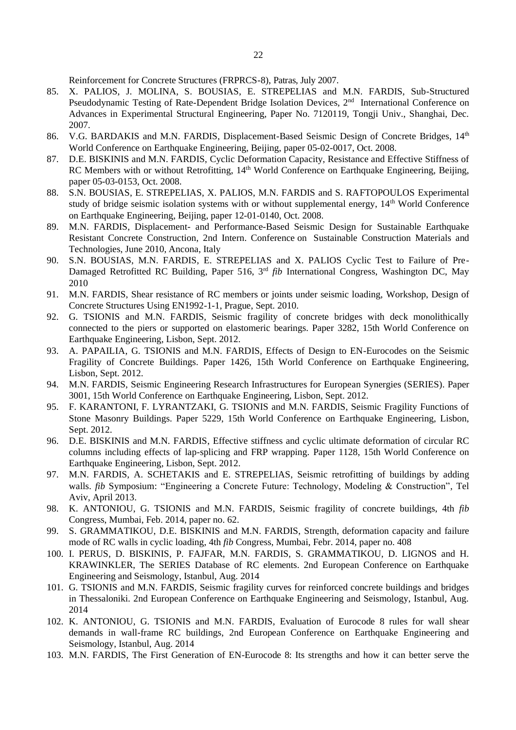Reinforcement for Concrete Structures (FRPRCS-8), Patras, July 2007.

- 85. X. PALIOS, J. MOLINA, S. BOUSIAS, E. STREPELIAS and M.N. FARDIS, Sub-Structured Pseudodynamic Testing of Rate-Dependent Bridge Isolation Devices, 2<sup>nd</sup> International Conference on Advances in Experimental Structural Engineering, Paper No. 7120119, Tongji Univ., Shanghai, Dec. 2007.
- 86. V.G. BARDAKIS and M.N. FARDIS, Displacement-Based Seismic Design of Concrete Bridges, 14<sup>th</sup> World Conference on Earthquake Engineering, Beijing, paper 05-02-0017, Oct. 2008.
- 87. D.E. BISKINIS and M.N. FARDIS, Cyclic Deformation Capacity, Resistance and Effective Stiffness of RC Members with or without Retrofitting, 14<sup>th</sup> World Conference on Earthquake Engineering, Beijing, paper 05-03-0153, Oct. 2008.
- 88. S.N. BOUSIAS, E. STREPELIAS, X. PALIOS, M.N. FARDIS and S. RAFTOPOULOS Experimental study of bridge seismic isolation systems with or without supplemental energy, 14<sup>th</sup> World Conference on Earthquake Engineering, Beijing, paper 12-01-0140, Oct. 2008.
- 89. M.N. FARDIS, Displacement- and Performance-Based Seismic Design for Sustainable Earthquake Resistant Concrete Construction, 2nd Intern. Conference on Sustainable Construction Materials and Technologies, June 2010, Ancona, Italy
- 90. S.N. BOUSIAS, M.N. FARDIS, E. STREPELIAS and X. PALIOS Cyclic Test to Failure of Pre-Damaged Retrofitted RC Building, Paper 516, 3<sup>rd</sup> *fib* International Congress, Washington DC, May 2010
- 91. M.N. FARDIS, Shear resistance of RC members or joints under seismic loading, Workshop, Design of Concrete Structures Using EN1992-1-1, Prague, Sept. 2010.
- 92. G. TSIONIS and M.N. FARDIS, Seismic fragility of concrete bridges with deck monolithically connected to the piers or supported on elastomeric bearings. Paper 3282, 15th World Conference on Earthquake Engineering, Lisbon, Sept. 2012.
- 93. A. PAPAILIA, G. TSIONIS and M.N. FARDIS, Effects of Design to EN-Eurocodes on the Seismic Fragility of Concrete Buildings. Paper 1426, 15th World Conference on Earthquake Engineering, Lisbon, Sept. 2012.
- 94. M.N. FARDIS, Seismic Engineering Research Infrastructures for European Synergies (SERIES). Paper 3001, 15th World Conference on Earthquake Engineering, Lisbon, Sept. 2012.
- 95. F. KARANTONI, F. LYRANTZAKI, G. TSIONIS and M.N. FARDIS, Seismic Fragility Functions of Stone Masonry Buildings. Paper 5229, 15th World Conference on Earthquake Engineering, Lisbon, Sept. 2012.
- 96. D.E. BISKINIS and M.N. FARDIS, Effective stiffness and cyclic ultimate deformation of circular RC columns including effects of lap-splicing and FRP wrapping. Paper 1128, 15th World Conference on Earthquake Engineering, Lisbon, Sept. 2012.
- 97. M.N. FARDIS, A. SCHETAKIS and E. STREPELIAS, Seismic retrofitting of buildings by adding walls. *fib* Symposium: "Engineering a Concrete Future: Technology, Modeling & Construction", Tel Aviv, April 2013.
- 98. K. ANTONIOU, G. TSIONIS and M.N. FARDIS, Seismic fragility of concrete buildings, 4th *fib* Congress, Mumbai, Feb. 2014, paper no. 62.
- 99. S. GRAMMATIKOU, D.E. BISKINIS and M.N. FARDIS, Strength, deformation capacity and failure mode of RC walls in cyclic loading, 4th *fib* Congress, Mumbai, Febr. 2014, paper no. 408
- 100. I. PERUS, D. BISKINIS, P. FAJFAR, M.N. FARDIS, S. GRAMMATIKOU, D. LIGNOS and H. KRAWINKLER, The SERIES Database of RC elements. 2nd European Conference on Earthquake Engineering and Seismology, Istanbul, Aug. 2014
- 101. G. TSIONIS and M.N. FARDIS, Seismic fragility curves for reinforced concrete buildings and bridges in Thessaloniki. 2nd European Conference on Earthquake Engineering and Seismology, Istanbul, Aug. 2014
- 102. K. ANTONIOU, G. TSIONIS and M.N. FARDIS, Evaluation of Eurocode 8 rules for wall shear demands in wall-frame RC buildings, 2nd European Conference on Earthquake Engineering and Seismology, Istanbul, Aug. 2014
- 103. M.N. FARDIS, The First Generation of EN-Eurocode 8: Its strengths and how it can better serve the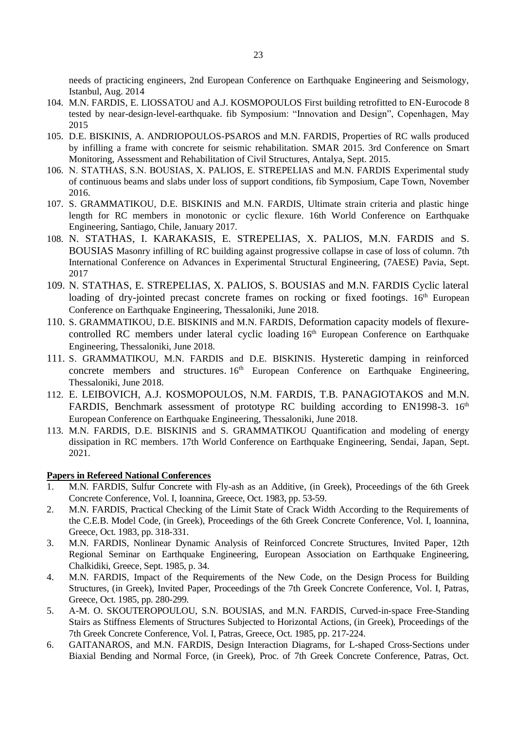needs of practicing engineers, 2nd European Conference on Earthquake Engineering and Seismology, Istanbul, Aug. 2014

- 104. M.N. FARDIS, E. LIOSSATOU and A.J. KOSMOPOULOS First building retrofitted to EN-Eurocode 8 tested by near-design-level-earthquake. fib Symposium: "Innovation and Design", Copenhagen, May 2015
- 105. D.E. BISKINIS, A. ANDRIOPOULOS-PSAROS and M.N. FARDIS, Properties of RC walls produced by infilling a frame with concrete for seismic rehabilitation. SMAR 2015. 3rd Conference on Smart Monitoring, Assessment and Rehabilitation of Civil Structures, Antalya, Sept. 2015.
- 106. N. STATHAS, S.N. BOUSIAS, X. PALIOS, E. STREPELIAS and M.N. FARDIS Experimental study of continuous beams and slabs under loss of support conditions, fib Symposium, Cape Town, November 2016.
- 107. S. GRAMMATIKOU, D.E. BISKINIS and M.N. FARDIS, Ultimate strain criteria and plastic hinge length for RC members in monotonic or cyclic flexure. 16th World Conference on Earthquake Engineering, Santiago, Chile, January 2017.
- 108. N. STATHAS, I. KARAKASIS, E. STREPELIAS, X. PALIOS, M.N. FARDIS and S. BOUSIAS Masonry infilling of RC building against progressive collapse in case of loss of column. 7th International Conference on Advances in Experimental Structural Engineering, (7AESE) Pavia, Sept. 2017
- 109. N. STATHAS, E. STREPELIAS, X. PALIOS, S. BOUSIAS and M.N. FARDIS Cyclic lateral loading of dry-jointed precast concrete frames on rocking or fixed footings.  $16<sup>th</sup>$  European Conference on Earthquake Engineering, Thessaloniki, June 2018.
- 110. S. GRAMMATIKOU, D.E. BISKINIS and M.N. FARDIS, Deformation capacity models of flexurecontrolled RC members under lateral cyclic loading 16<sup>th</sup> European Conference on Earthquake Engineering, Thessaloniki, June 2018.
- 111. S. GRAMMATIKOU, M.N. FARDIS and D.E. BISKINIS. Hysteretic damping in reinforced concrete members and structures.  $16<sup>th</sup>$  European Conference on Earthquake Engineering, Thessaloniki, June 2018.
- 112. E. LEIBOVICH, A.J. KOSMOPOULOS, N.M. FARDIS, T.B. PANAGIOTAKOS and M.N. FARDIS, Benchmark assessment of prototype RC building according to EN1998-3. 16<sup>th</sup> European Conference on Earthquake Engineering, Thessaloniki, June 2018.
- 113. M.N. FARDIS, D.E. BISKINIS and S. GRAMMATIKOU Quantification and modeling of energy dissipation in RC members. 17th World Conference on Earthquake Engineering, Sendai, Japan, Sept. 2021.

## **Papers in Refereed National Conferences**

- 1. M.N. FARDIS, Sulfur Concrete with Fly-ash as an Additive, (in Greek), Proceedings of the 6th Greek Concrete Conference, Vol. I, Ioannina, Greece, Oct. 1983, pp. 53-59.
- 2. M.N. FARDIS, Practical Checking of the Limit State of Crack Width According to the Requirements of the C.E.B. Model Code, (in Greek), Proceedings of the 6th Greek Concrete Conference, Vol. I, Ioannina, Greece, Oct. 1983, pp. 318-331.
- 3. M.N. FARDIS, Nonlinear Dynamic Analysis of Reinforced Concrete Structures, Invited Paper, 12th Regional Seminar on Earthquake Engineering, European Association on Earthquake Engineering, Chalkidiki, Greece, Sept. 1985, p. 34.
- 4. M.N. FARDIS, Impact of the Requirements of the New Code, on the Design Process for Building Structures, (in Greek), Invited Paper, Proceedings of the 7th Greek Concrete Conference, Vol. I, Patras, Greece, Oct. 1985, pp. 280-299.
- 5. A-M. O. SKOUTEROPOULOU, S.N. BOUSIAS, and M.N. FARDIS, Curved-in-space Free-Standing Stairs as Stiffness Elements of Structures Subjected to Horizontal Actions, (in Greek), Proceedings of the 7th Greek Concrete Conference, Vol. I, Patras, Greece, Oct. 1985, pp. 217-224.
- 6. GAITANAROS, and M.N. FARDIS, Design Interaction Diagrams, for L-shaped Cross-Sections under Biaxial Bending and Normal Force, (in Greek), Proc. of 7th Greek Concrete Conference, Patras, Oct.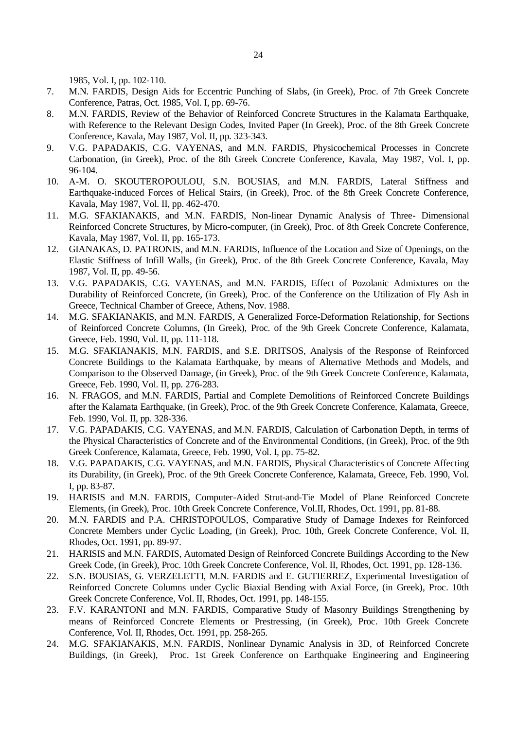1985, Vol. I, pp. 102-110.

- 7. M.N. FARDIS, Design Aids for Eccentric Punching of Slabs, (in Greek), Proc. of 7th Greek Concrete Conference, Patras, Oct. 1985, Vol. I, pp. 69-76.
- 8. M.N. FARDIS, Review of the Behavior of Reinforced Concrete Structures in the Kalamata Earthquake, with Reference to the Relevant Design Codes, Invited Paper (In Greek), Proc. of the 8th Greek Concrete Conference, Kavala, May 1987, Vol. II, pp. 323-343.
- 9. V.G. PAPADAKIS, C.G. VAYENAS, and M.N. FARDIS, Physicochemical Processes in Concrete Carbonation, (in Greek), Proc. of the 8th Greek Concrete Conference, Kavala, May 1987, Vol. I, pp. 96-104.
- 10. A-M. O. SKOUTEROPOULOU, S.N. BOUSIAS, and M.N. FARDIS, Lateral Stiffness and Earthquake-induced Forces of Helical Stairs, (in Greek), Proc. of the 8th Greek Concrete Conference, Kavala, May 1987, Vol. II, pp. 462-470.
- 11. M.G. SFAKIANAKIS, and M.N. FARDIS, Non-linear Dynamic Analysis of Three- Dimensional Reinforced Concrete Structures, by Micro-computer, (in Greek), Proc. of 8th Greek Concrete Conference, Kavala, May 1987, Vol. II, pp. 165-173.
- 12. GIANAKAS, D. PATRONIS, and M.N. FARDIS, Influence of the Location and Size of Openings, on the Elastic Stiffness of Infill Walls, (in Greek), Proc. of the 8th Greek Concrete Conference, Kavala, May 1987, Vol. II, pp. 49-56.
- 13. V.G. PAPADAKIS, C.G. VAYENAS, and M.N. FARDIS, Effect of Pozolanic Admixtures on the Durability of Reinforced Concrete, (in Greek), Proc. of the Conference on the Utilization of Fly Ash in Greece, Technical Chamber of Greece, Athens, Nov. 1988.
- 14. M.G. SFAKIANAKIS, and M.N. FARDIS, A Generalized Force-Deformation Relationship, for Sections of Reinforced Concrete Columns, (In Greek), Proc. of the 9th Greek Concrete Conference, Kalamata, Greece, Feb. 1990, Vol. II, pp. 111-118.
- 15. M.G. SFAKIANAKIS, M.N. FARDIS, and S.E. DRITSOS, Analysis of the Response of Reinforced Concrete Buildings to the Kalamata Earthquake, by means of Alternative Methods and Models, and Comparison to the Observed Damage, (in Greek), Proc. of the 9th Greek Concrete Conference, Kalamata, Greece, Feb. 1990, Vol. II, pp. 276-283.
- 16. N. FRAGOS, and M.N. FARDIS, Partial and Complete Demolitions of Reinforced Concrete Buildings after the Kalamata Earthquake, (in Greek), Proc. of the 9th Greek Concrete Conference, Kalamata, Greece, Feb. 1990, Vol. II, pp. 328-336.
- 17. V.G. PAPADAKIS, C.G. VAYENAS, and M.N. FARDIS, Calculation of Carbonation Depth, in terms of the Physical Characteristics of Concrete and of the Environmental Conditions, (in Greek), Proc. of the 9th Greek Conference, Kalamata, Greece, Feb. 1990, Vol. I, pp. 75-82.
- 18. V.G. PAPADAKIS, C.G. VAYENAS, and M.N. FARDIS, Physical Characteristics of Concrete Affecting its Durability, (in Greek), Proc. of the 9th Greek Concrete Conference, Kalamata, Greece, Feb. 1990, Vol. I, pp. 83-87.
- 19. HARISIS and M.N. FARDIS, Computer-Aided Strut-and-Tie Model of Plane Reinforced Concrete Elements, (in Greek), Proc. 10th Greek Concrete Conference, Vol.II, Rhodes, Oct. 1991, pp. 81-88.
- 20. M.N. FARDIS and P.A. CHRISTOPOULOS, Comparative Study of Damage Indexes for Reinforced Concrete Members under Cyclic Loading, (in Greek), Proc. 10th, Greek Concrete Conference, Vol. II, Rhodes, Oct. 1991, pp. 89-97.
- 21. HARISIS and M.N. FARDIS, Automated Design of Reinforced Concrete Buildings According to the New Greek Code, (in Greek), Proc. 10th Greek Concrete Conference, Vol. II, Rhodes, Oct. 1991, pp. 128-136.
- 22. S.N. BOUSIAS, G. VERZELETTI, M.N. FARDIS and E. GUTIERREZ, Experimental Investigation of Reinforced Concrete Columns under Cyclic Biaxial Bending with Axial Force, (in Greek), Proc. 10th Greek Concrete Conference, Vol. II, Rhodes, Oct. 1991, pp. 148-155.
- 23. F.V. KARANTONI and M.N. FARDIS, Comparative Study of Masonry Buildings Strengthening by means of Reinforced Concrete Elements or Prestressing, (in Greek), Proc. 10th Greek Concrete Conference, Vol. II, Rhodes, Oct. 1991, pp. 258-265.
- 24. M.G. SFAKIANAKIS, M.N. FARDIS, Nonlinear Dynamic Analysis in 3D, of Reinforced Concrete Buildings, (in Greek), Proc. 1st Greek Conference on Earthquake Engineering and Engineering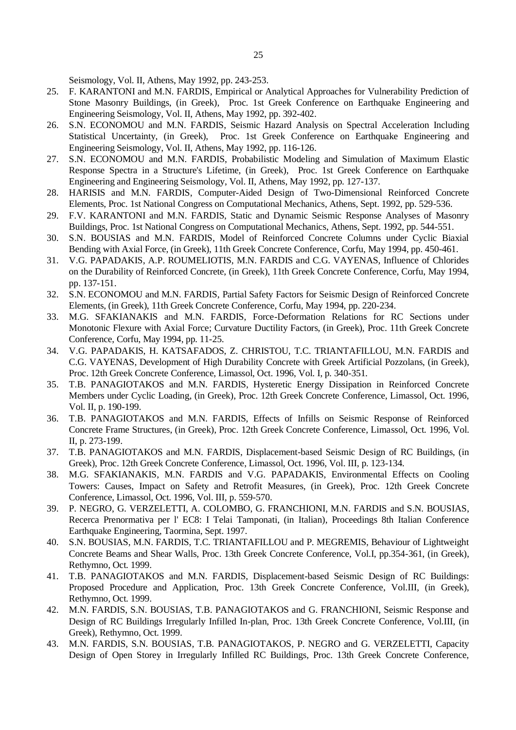Seismology, Vol. II, Athens, May 1992, pp. 243-253.

- 25. F. KARANTONI and M.N. FARDIS, Empirical or Analytical Approaches for Vulnerability Prediction of Stone Masonry Buildings, (in Greek), Proc. 1st Greek Conference on Earthquake Engineering and Engineering Seismology, Vol. II, Athens, May 1992, pp. 392-402.
- 26. S.N. ECONOMOU and M.N. FARDIS, Seismic Hazard Analysis on Spectral Acceleration Including Statistical Uncertainty, (in Greek), Proc. 1st Greek Conference on Earthquake Engineering and Engineering Seismology, Vol. II, Athens, May 1992, pp. 116-126.
- 27. S.N. ECONOMOU and M.N. FARDIS, Probabilistic Modeling and Simulation of Maximum Elastic Response Spectra in a Structure's Lifetime, (in Greek), Proc. 1st Greek Conference on Earthquake Engineering and Engineering Seismology, Vol. II, Athens, May 1992, pp. 127-137.
- 28. HARISIS and M.N. FARDIS, Computer-Aided Design of Two-Dimensional Reinforced Concrete Elements, Proc. 1st National Congress on Computational Mechanics, Athens, Sept. 1992, pp. 529-536.
- 29. F.V. KARANTONI and M.N. FARDIS, Static and Dynamic Seismic Response Analyses of Masonry Buildings, Proc. 1st National Congress on Computational Mechanics, Athens, Sept. 1992, pp. 544-551.
- 30. S.N. BOUSIAS and M.N. FARDIS, Model of Reinforced Concrete Columns under Cyclic Biaxial Bending with Axial Force, (in Greek), 11th Greek Concrete Conference, Corfu, May 1994, pp. 450-461.
- 31. V.G. PAPADAKIS, A.P. ROUMELIOTIS, M.N. FARDIS and C.G. VAYENAS, Influence of Chlorides on the Durability of Reinforced Concrete, (in Greek), 11th Greek Concrete Conference, Corfu, May 1994, pp. 137-151.
- 32. S.N. ECONOMOU and M.N. FARDIS, Partial Safety Factors for Seismic Design of Reinforced Concrete Elements, (in Greek), 11th Greek Concrete Conference, Corfu, May 1994, pp. 220-234.
- 33. M.G. SFAKIANAKIS and M.N. FARDIS, Force-Deformation Relations for RC Sections under Monotonic Flexure with Axial Force; Curvature Ductility Factors, (in Greek), Proc. 11th Greek Concrete Conference, Corfu, May 1994, pp. 11-25.
- 34. V.G. PAPADAKIS, H. KATSAFADOS, Z. CHRISTOU, T.C. TRIANTAFILLOU, M.N. FARDIS and C.G. VAYENAS, Development of High Durability Concrete with Greek Artificial Pozzolans, (in Greek), Proc. 12th Greek Concrete Conference, Limassol, Oct. 1996, Vol. I, p. 340-351.
- 35. T.B. PANAGIOTAKOS and M.N. FARDIS, Hysteretic Energy Dissipation in Reinforced Concrete Members under Cyclic Loading, (in Greek), Proc. 12th Greek Concrete Conference, Limassol, Oct. 1996, Vol. II, p. 190-199.
- 36. T.B. PANAGIOTAKOS and M.N. FARDIS, Effects of Infills on Seismic Response of Reinforced Concrete Frame Structures, (in Greek), Proc. 12th Greek Concrete Conference, Limassol, Oct. 1996, Vol. II, p. 273-199.
- 37. T.B. PANAGIOTAKOS and M.N. FARDIS, Displacement-based Seismic Design of RC Buildings, (in Greek), Proc. 12th Greek Concrete Conference, Limassol, Oct. 1996, Vol. III, p. 123-134.
- 38. M.G. SFAKIANAKIS, M.N. FARDIS and V.G. PAPADAKIS, Environmental Effects on Cooling Towers: Causes, Impact on Safety and Retrofit Measures, (in Greek), Proc. 12th Greek Concrete Conference, Limassol, Oct. 1996, Vol. III, p. 559-570.
- 39. P. NEGRO, G. VERZELETTI, A. COLOMBO, G. FRANCHIONI, M.N. FARDIS and S.N. BOUSIAS, Recerca Prenormativa per l' EC8: I Telai Tamponati, (in Italian), Proceedings 8th Italian Conference Earthquake Engineering, Taormina, Sept. 1997.
- 40. S.N. BOUSIAS, M.N. FARDIS, T.C. TRIANTAFILLOU and P. MEGREMIS, Behaviour of Lightweight Concrete Beams and Shear Walls, Proc. 13th Greek Concrete Conference, Vol.I, pp.354-361, (in Greek), Rethymno, Oct. 1999.
- 41. T.B. PANAGIOTAKOS and M.N. FARDIS, Displacement-based Seismic Design of RC Buildings: Proposed Procedure and Application, Proc. 13th Greek Concrete Conference, Vol.III, (in Greek), Rethymno, Oct. 1999.
- 42. M.N. FARDIS, S.N. BOUSIAS, T.B. PANAGIOTAKOS and G. FRANCHIONI, Seismic Response and Design of RC Buildings Irregularly Infilled In-plan, Proc. 13th Greek Concrete Conference, Vol.III, (in Greek), Rethymno, Oct. 1999.
- 43. M.N. FARDIS, S.N. BOUSIAS, T.B. PANAGIOTAKOS, P. NEGRO and G. VERZELETTI, Capacity Design of Open Storey in Irregularly Infilled RC Buildings, Proc. 13th Greek Concrete Conference,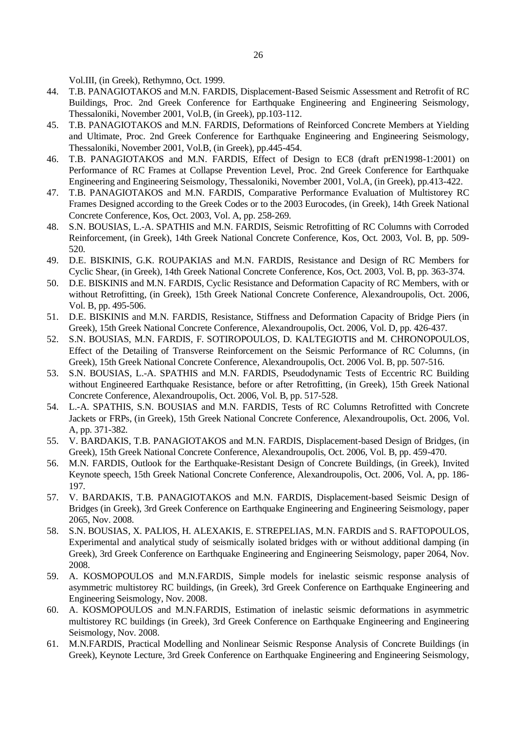Vol.III, (in Greek), Rethymno, Oct. 1999.

- 44. T.B. PANAGIOTAKOS and M.N. FARDIS, Displacement-Based Seismic Assessment and Retrofit of RC Buildings, Proc. 2nd Greek Conference for Earthquake Engineering and Engineering Seismology, Thessaloniki, November 2001, Vol.B, (in Greek), pp.103-112.
- 45. T.B. PANAGIOTAKOS and M.N. FARDIS, Deformations of Reinforced Concrete Members at Yielding and Ultimate, Proc. 2nd Greek Conference for Earthquake Engineering and Engineering Seismology, Thessaloniki, November 2001, Vol.B, (in Greek), pp.445-454.
- 46. T.B. PANAGIOTAKOS and M.N. FARDIS, Effect of Design to EC8 (draft prEN1998-1:2001) on Performance of RC Frames at Collapse Prevention Level, Proc. 2nd Greek Conference for Earthquake Engineering and Engineering Seismology, Thessaloniki, November 2001, Vol.A, (in Greek), pp.413-422.
- 47. T.B. PANAGIOTAKOS and M.N. FARDIS, Comparative Performance Evaluation of Multistorey RC Frames Designed according to the Greek Codes or to the 2003 Eurocodes, (in Greek), 14th Greek National Concrete Conference, Kos, Oct. 2003, Vol. A, pp. 258-269.
- 48. S.N. BOUSIAS, L.-A. SPATHIS and M.N. FARDIS, Seismic Retrofitting of RC Columns with Corroded Reinforcement, (in Greek), 14th Greek National Concrete Conference, Kos, Oct. 2003, Vol. B, pp. 509- 520.
- 49. D.E. BISKINIS, G.K. ROUPAKIAS and M.N. FARDIS, Resistance and Design of RC Members for Cyclic Shear, (in Greek), 14th Greek National Concrete Conference, Kos, Oct. 2003, Vol. B, pp. 363-374.
- 50. D.E. BISKINIS and M.N. FARDIS, Cyclic Resistance and Deformation Capacity of RC Members, with or without Retrofitting, (in Greek), 15th Greek National Concrete Conference, Alexandroupolis, Oct. 2006, Vol. B, pp. 495-506.
- 51. D.E. BISKINIS and M.N. FARDIS, Resistance, Stiffness and Deformation Capacity of Bridge Piers (in Greek), 15th Greek National Concrete Conference, Alexandroupolis, Oct. 2006, Vol. D, pp. 426-437.
- 52. S.N. BOUSIAS, M.N. FARDIS, F. SOTIROPOULOS, D. KALTEGIOTIS and M. CHRONOPOULOS, Effect of the Detailing of Transverse Reinforcement on the Seismic Performance of RC Columns, (in Greek), 15th Greek National Concrete Conference, Alexandroupolis, Oct. 2006 Vol. B, pp. 507-516.
- 53. S.N. BOUSIAS, L.-A. SPATHIS and M.N. FARDIS, Pseudodynamic Tests of Eccentric RC Building without Engineered Earthquake Resistance, before or after Retrofitting, (in Greek), 15th Greek National Concrete Conference, Alexandroupolis, Oct. 2006, Vol. B, pp. 517-528.
- 54. L.-A. SPATHIS, S.N. BOUSIAS and M.N. FARDIS, Tests of RC Columns Retrofitted with Concrete Jackets or FRPs, (in Greek), 15th Greek National Concrete Conference, Alexandroupolis, Oct. 2006, Vol. A, pp. 371-382.
- 55. V. BARDAKIS, T.B. PANAGIOTAKOS and M.N. FARDIS, Displacement-based Design of Bridges, (in Greek), 15th Greek National Concrete Conference, Alexandroupolis, Oct. 2006, Vol. B, pp. 459-470.
- 56. M.N. FARDIS, Outlook for the Earthquake-Resistant Design of Concrete Buildings, (in Greek), Invited Keynote speech, 15th Greek National Concrete Conference, Alexandroupolis, Oct. 2006, Vol. A, pp. 186- 197.
- 57. V. BARDAKIS, T.B. PANAGIOTAKOS and M.N. FARDIS, Displacement-based Seismic Design of Bridges (in Greek), 3rd Greek Conference on Earthquake Engineering and Engineering Seismology, paper 2065, Nov. 2008.
- 58. S.N. BOUSIAS, X. PALIOS, H. ALEXAKIS, E. STREPELIAS, M.N. FARDIS and S. RAFTOPOULOS, Experimental and analytical study of seismically isolated bridges with or without additional damping (in Greek), 3rd Greek Conference on Earthquake Engineering and Engineering Seismology, paper 2064, Nov. 2008.
- 59. A. KOSMOPOULOS and M.N.FARDIS, Simple models for inelastic seismic response analysis of asymmetric multistorey RC buildings, (in Greek), 3rd Greek Conference on Earthquake Engineering and Engineering Seismology, Nov. 2008.
- 60. A. KOSMOPOULOS and M.N.FARDIS, Estimation of inelastic seismic deformations in asymmetric multistorey RC buildings (in Greek), 3rd Greek Conference on Earthquake Engineering and Engineering Seismology, Nov. 2008.
- 61. M.N.FARDIS, Practical Modelling and Nonlinear Seismic Response Analysis of Concrete Buildings (in Greek), Keynote Lecture, 3rd Greek Conference on Earthquake Engineering and Engineering Seismology,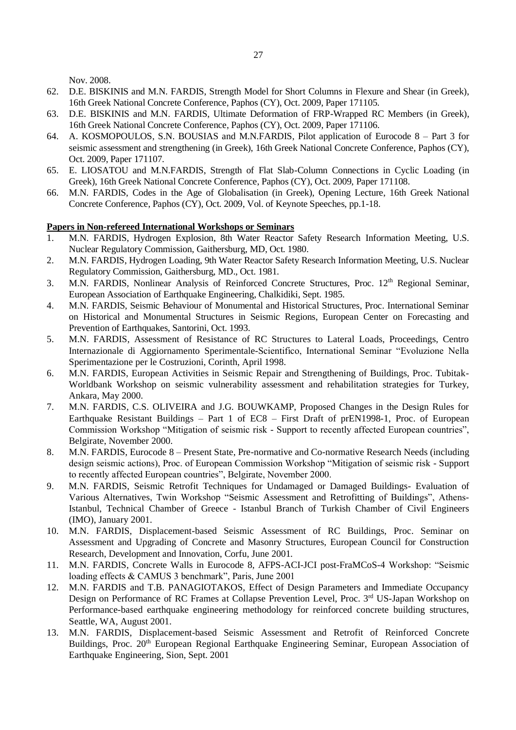Nov. 2008.

- 62. D.E. BISKINIS and M.N. FARDIS, Strength Model for Short Columns in Flexure and Shear (in Greek), 16th Greek National Concrete Conference, Paphos (CY), Oct. 2009, Paper 171105.
- 63. D.E. BISKINIS and M.N. FARDIS, Ultimate Deformation of FRP-Wrapped RC Members (in Greek), 16th Greek National Concrete Conference, Paphos (CY), Oct. 2009, Paper 171106.
- 64. A. KOSMOPOULOS, S.N. BOUSIAS and M.N.FARDIS, Pilot application of Eurocode 8 Part 3 for seismic assessment and strengthening (in Greek), 16th Greek National Concrete Conference, Paphos (CY), Oct. 2009, Paper 171107.
- 65. E. LIOSATOU and M.N.FARDIS, Strength of Flat Slab-Column Connections in Cyclic Loading (in Greek), 16th Greek National Concrete Conference, Paphos (CY), Oct. 2009, Paper 171108.
- 66. M.N. FARDIS, Codes in the Age of Globalisation (in Greek), Opening Lecture, 16th Greek National Concrete Conference, Paphos (CY), Oct. 2009, Vol. of Keynote Speeches, pp.1-18.

## **Papers in Non-refereed International Workshops or Seminars**

- 1. M.N. FARDIS, Hydrogen Explosion, 8th Water Reactor Safety Research Information Meeting, U.S. Nuclear Regulatory Commission, Gaithersburg, MD, Oct. 1980.
- 2. M.N. FARDIS, Hydrogen Loading, 9th Water Reactor Safety Research Information Meeting, U.S. Nuclear Regulatory Commission, Gaithersburg, MD., Oct. 1981.
- 3. M.N. FARDIS, Nonlinear Analysis of Reinforced Concrete Structures, Proc. 12<sup>th</sup> Regional Seminar, European Association of Earthquake Engineering, Chalkidiki, Sept. 1985.
- 4. M.N. FARDIS, Seismic Behaviour of Monumental and Historical Structures, Proc. International Seminar on Historical and Monumental Structures in Seismic Regions, European Center on Forecasting and Prevention of Earthquakes, Santorini, Oct. 1993.
- 5. M.N. FARDIS, Assessment of Resistance of RC Structures to Lateral Loads, Proceedings, Centro Internazionale di Aggiornamento Sperimentale-Scientifico, International Seminar "Evoluzione Nella Sperimentazione per le Costruzioni, Corinth, April 1998.
- 6. M.N. FARDIS, European Activities in Seismic Repair and Strengthening of Buildings, Proc. Tubitak-Worldbank Workshop on seismic vulnerability assessment and rehabilitation strategies for Turkey, Ankara, May 2000.
- 7. M.N. FARDIS, C.S. OLIVEIRA and J.G. BOUWKAMP, Proposed Changes in the Design Rules for Earthquake Resistant Buildings – Part 1 of EC8 – First Draft of prEN1998-1, Proc. of European Commission Workshop "Mitigation of seismic risk - Support to recently affected European countries", Belgirate, November 2000.
- 8. M.N. FARDIS, Eurocode 8 Present State, Pre-normative and Co-normative Research Needs (including design seismic actions), Proc. of European Commission Workshop "Mitigation of seismic risk - Support to recently affected European countries", Belgirate, November 2000.
- 9. M.N. FARDIS, Seismic Retrofit Techniques for Undamaged or Damaged Buildings- Evaluation of Various Alternatives, Twin Workshop "Seismic Assessment and Retrofitting of Buildings", Athens-Istanbul, Technical Chamber of Greece - Istanbul Branch of Turkish Chamber of Civil Engineers (IMO), January 2001.
- 10. M.N. FARDIS, Displacement-based Seismic Assessment of RC Buildings, Proc. Seminar on Assessment and Upgrading of Concrete and Masonry Structures, European Council for Construction Research, Development and Innovation, Corfu, June 2001.
- 11. M.N. FARDIS, Concrete Walls in Eurocode 8, AFPS-ACI-JCI post-FraMCoS-4 Workshop: "Seismic loading effects & CAMUS 3 benchmark", Paris, June 2001
- 12. M.N. FARDIS and T.B. PANAGIOTAKOS, Effect of Design Parameters and Immediate Occupancy Design on Performance of RC Frames at Collapse Prevention Level, Proc. 3<sup>rd</sup> US-Japan Workshop on Performance-based earthquake engineering methodology for reinforced concrete building structures, Seattle, WA, August 2001.
- 13. M.N. FARDIS, Displacement-based Seismic Assessment and Retrofit of Reinforced Concrete Buildings, Proc. 20<sup>th</sup> European Regional Earthquake Engineering Seminar, European Association of Earthquake Engineering, Sion, Sept. 2001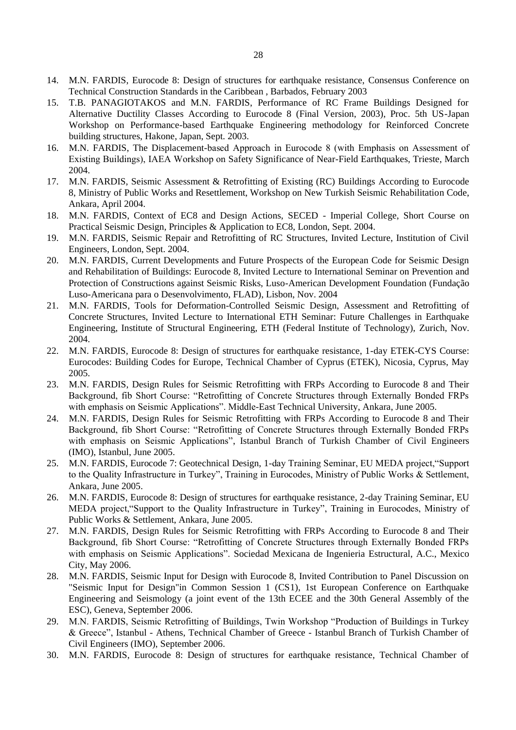- 14. M.N. FARDIS, Eurocode 8: Design of structures for earthquake resistance, Consensus Conference on Technical Construction Standards in the Caribbean , Barbados, February 2003
- 15. T.B. PANAGIOTAKOS and M.N. FARDIS, Performance of RC Frame Buildings Designed for Alternative Ductility Classes According to Eurocode 8 (Final Version, 2003), Proc. 5th US-Japan Workshop on Performance-based Earthquake Engineering methodology for Reinforced Concrete building structures, Hakone, Japan, Sept. 2003.
- 16. M.N. FARDIS, The Displacement-based Approach in Eurocode 8 (with Εmphasis on Αssessment of Εxisting Βuildings), IAEA Workshop on Safety Significance of Near-Field Earthquakes, Trieste, March 2004.
- 17. M.N. FARDIS, Seismic Assessment & Retrofitting of Existing (RC) Buildings According to Eurocode 8, Ministry of Public Works and Resettlement, Workshop on New Turkish Seismic Rehabilitation Code, Ankara, April 2004.
- 18. M.N. FARDIS, Context of EC8 and Design Actions, SECED Imperial College, Short Course on Practical Seismic Design, Principles & Application to EC8, London, Sept. 2004.
- 19. M.N. FARDIS, Seismic Repair and Retrofitting of RC Structures, Invited Lecture, Institution of Civil Engineers, London, Sept. 2004.
- 20. M.N. FARDIS, Current Developments and Future Prospects of the European Code for Seismic Design and Rehabilitation of Buildings: Eurocode 8, Invited Lecture to International Seminar on Prevention and Protection of Constructions against Seismic Risks, Luso-American Development Foundation (Fundação Luso-Americana para o Desenvolvimento, FLAD), Lisbon, Nov. 2004
- 21. M.N. FARDIS, Tools for Deformation-Controlled Seismic Design, Assessment and Retrofitting of Concrete Structures, Invited Lecture to International ETH Seminar: Future Challenges in Earthquake Engineering, Institute of Structural Engineering, ETH (Federal Institute of Technology), Zurich, Nov. 2004.
- 22. M.N. FARDIS, Eurocode 8: Design of structures for earthquake resistance, 1-day ETEK-CYS Course: Eurocodes: Building Codes for Europe, Technical Chamber of Cyprus (ETEK), Nicosia, Cyprus, May 2005.
- 23. M.N. FARDIS, Design Rules for Seismic Retrofitting with FRPs According to Eurocode 8 and Their Background, fib Short Course: "Retrofitting of Concrete Structures through Externally Bonded FRPs with emphasis on Seismic Applications". Middle-East Technical University, Ankara, June 2005.
- 24. M.N. FARDIS, Design Rules for Seismic Retrofitting with FRPs According to Eurocode 8 and Their Background, fib Short Course: "Retrofitting of Concrete Structures through Externally Bonded FRPs with emphasis on Seismic Applications", Istanbul Branch of Turkish Chamber of Civil Engineers (IMO), Istanbul, June 2005.
- 25. M.N. FARDIS, Eurocode 7: Geotechnical Design, 1-day Training Seminar, EU MEDA project,"Support to the Quality Infrastructure in Turkey", Training in Eurocodes, Ministry of Public Works & Settlement, Ankara, June 2005.
- 26. M.N. FARDIS, Eurocode 8: Design of structures for earthquake resistance, 2-day Training Seminar, EU MEDA project,"Support to the Quality Infrastructure in Turkey", Training in Eurocodes, Ministry of Public Works & Settlement, Ankara, June 2005.
- 27. M.N. FARDIS, Design Rules for Seismic Retrofitting with FRPs According to Eurocode 8 and Their Background, fib Short Course: "Retrofitting of Concrete Structures through Externally Bonded FRPs with emphasis on Seismic Applications". Sociedad Mexicana de Ingenieria Estructural, A.C., Mexico City, May 2006.
- 28. M.N. FARDIS, Seismic Input for Design with Eurocode 8, Invited Contribution to Panel Discussion on "Seismic Input for Design"in Common Session 1 (CS1), 1st European Conference on Earthquake Engineering and Seismology (a joint event of the 13th ECEE and the 30th General Assembly of the ESC), Geneva, September 2006.
- 29. M.N. FARDIS, Seismic Retrofitting of Buildings, Twin Workshop "Production of Buildings in Turkey & Greece", Istanbul - Athens, Technical Chamber of Greece - Istanbul Branch of Turkish Chamber of Civil Engineers (IMO), September 2006.
- 30. M.N. FARDIS, Eurocode 8: Design of structures for earthquake resistance, Technical Chamber of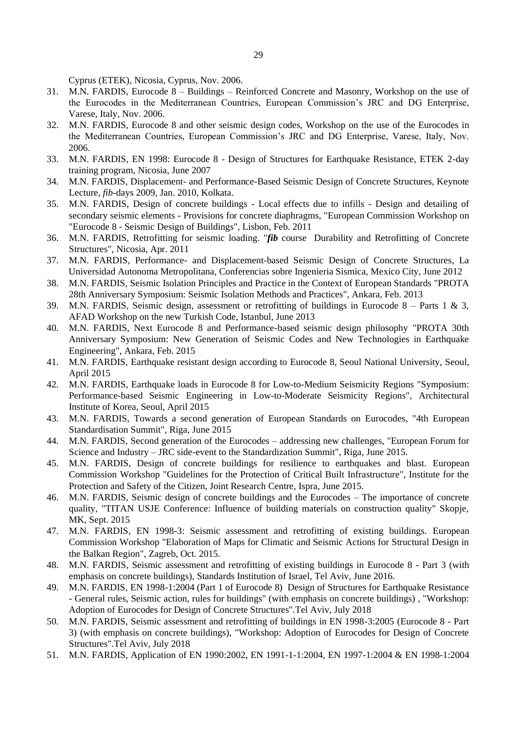Cyprus (ETEK), Nicosia, Cyprus, Nov. 2006.

- 31. M.N. FARDIS, Eurocode 8 Buildings Reinforced Concrete and Masonry, Workshop on the use of the Eurocodes in the Mediterranean Countries, European Commission's JRC and DG Enterprise, Varese, Italy, Nov. 2006.
- 32. M.N. FARDIS, Eurocode 8 and other seismic design codes, Workshop on the use of the Eurocodes in the Mediterranean Countries, European Commission's JRC and DG Enterprise, Varese, Italy, Nov. 2006.
- 33. M.N. FARDIS, EN 1998: Eurocode 8 Design of Structures for Earthquake Resistance, ETEK 2-day training program, Nicosia, June 2007
- 34. M.N. FARDIS, Displacement- and Performance-Based Seismic Design of Concrete Structures, Keynote Lecture, *fib*-days 2009, Jan. 2010, Kolkata.
- 35. M.N. FARDIS, Design of concrete buildings Local effects due to infills Design and detailing of secondary seismic elements - Provisions for concrete diaphragms, "European Commission Workshop on "Eurocode 8 - Seismic Design of Buildings", Lisbon, Feb. 2011
- 36. M.N. FARDIS, Retrofitting for seismic loading. "*fib* course Durability and Retrofitting of Concrete Structures", Nicosia, Apr. 2011
- 37. M.N. FARDIS, Performance- and Displacement-based Seismic Design of Concrete Structures, La Universidad Autonoma Metropolitana, Conferencias sobre Ingenieria Sismica, Mexico City, June 2012
- 38. M.N. FARDIS, Seismic Isolation Principles and Practice in the Context of European Standards "PROTA 28th Anniversary Symposium: Seismic Isolation Methods and Practices", Ankara, Feb. 2013
- 39. M.N. FARDIS, Seismic design, assessment or retrofitting of buildings in Eurocode  $8 -$  Parts 1 & 3, AFAD Workshop on the new Turkish Code, Istanbul, June 2013
- 40. M.N. FARDIS, Next Eurocode 8 and Performance-based seismic design philosophy "PROTA 30th Anniversary Symposium: New Generation of Seismic Codes and New Technologies in Earthquake Engineering", Ankara, Feb. 2015
- 41. M.N. FARDIS, Earthquake resistant design according to Eurocode 8, Seoul National University, Seoul, April 2015
- 42. M.N. FARDIS, Earthquake loads in Eurocode 8 for Low-to-Medium Seismicity Regions "Symposium: Performance-based Seismic Engineering in Low-to-Moderate Seismicity Regions", Architectural Institute of Korea, Seoul, April 2015
- 43. M.N. FARDIS, Towards a second generation of European Standards on Eurocodes, "4th European Standardisation Summit", Riga, June 2015
- 44. M.N. FARDIS, Second generation of the Eurocodes addressing new challenges, "European Forum for Science and Industry – JRC side-event to the Standardization Summit", Riga, June 2015.
- 45. M.N. FARDIS, Design of concrete buildings for resilience to earthquakes and blast. European Commission Workshop "Guidelines for the Protection of Critical Built Infrastructure", Institute for the Protection and Safety of the Citizen, Joint Research Centre, Ispra, June 2015.
- 46. M.N. FARDIS, Seismic design of concrete buildings and the Eurocodes The importance of concrete quality, "TITAN USJE Conference: Influence of building materials on construction quality" Skopje, MK, Sept. 2015
- 47. M.N. FARDIS, EN 1998-3: Seismic assessment and retrofitting of existing buildings. European Commission Workshop "Elaboration of Maps for Climatic and Seismic Actions for Structural Design in the Balkan Region", Zagreb, Oct. 2015.
- 48. M.N. FARDIS, Seismic assessment and retrofitting of existing buildings in Eurocode 8 Part 3 (with emphasis on concrete buildings), Standards Institution of Israel, Tel Aviv, June 2016.
- 49. M.N. FARDIS, EN 1998-1:2004 (Part 1 of Eurocode 8) Design of Structures for Earthquake Resistance - General rules, Seismic action, rules for buildings" (with emphasis on concrete buildings) , "Workshop: Adoption of Eurocodes for Design of Concrete Structures".Tel Aviv, July 2018
- 50. M.N. FARDIS, Seismic assessment and retrofitting of buildings in EN 1998-3:2005 (Eurocode 8 Part 3) (with emphasis on concrete buildings), "Workshop: Adoption of Eurocodes for Design of Concrete Structures".Tel Aviv, July 2018
- 51. M.N. FARDIS, Application of EN 1990:2002, EN 1991-1-1:2004, EN 1997-1:2004 & EN 1998-1:2004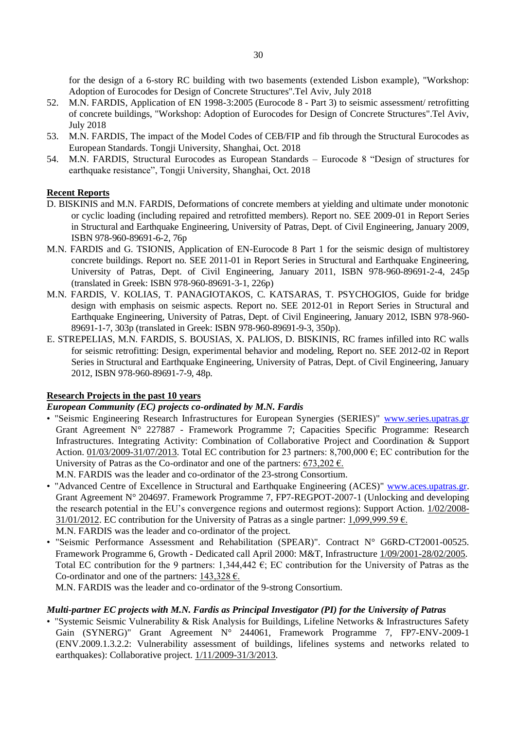for the design of a 6-story RC building with two basements (extended Lisbon example), "Workshop: Adoption of Eurocodes for Design of Concrete Structures".Tel Aviv, July 2018

- 52. M.N. FARDIS, Application of EN 1998-3:2005 (Eurocode 8 Part 3) to seismic assessment/ retrofitting of concrete buildings, "Workshop: Adoption of Eurocodes for Design of Concrete Structures".Tel Aviv, July 2018
- 53. M.N. FARDIS, The impact of the Model Codes of CEB/FIP and fib through the Structural Eurocodes as European Standards. Tongji University, Shanghai, Oct. 2018
- 54. M.N. FARDIS, Structural Eurocodes as European Standards Eurocode 8 "Design of structures for earthquake resistance", Tongji University, Shanghai, Oct. 2018

## **Recent Reports**

- D. BISKINIS and M.N. FARDIS, Deformations of concrete members at yielding and ultimate under monotonic or cyclic loading (including repaired and retrofitted members). Report no. SEE 2009-01 in Report Series in Structural and Earthquake Engineering, University of Patras, Dept. of Civil Engineering, January 2009, ISBN 978-960-89691-6-2, 76p
- M.N. FARDIS and G. TSIONIS, Application of EN-Eurocode 8 Part 1 for the seismic design of multistorey concrete buildings. Report no. SEE 2011-01 in Report Series in Structural and Earthquake Engineering, University of Patras, Dept. of Civil Engineering, January 2011, ISBN 978-960-89691-2-4, 245p (translated in Greek: ISBN 978-960-89691-3-1, 226p)
- M.N. FARDIS, V. KOLIAS, T. PANAGIOTAKOS, C. KATSARAS, T. PSYCHOGIOS, Guide for bridge design with emphasis on seismic aspects. Report no. SEE 2012-01 in Report Series in Structural and Earthquake Engineering, University of Patras, Dept. of Civil Engineering, January 2012, ISBN 978-960- 89691-1-7, 303p (translated in Greek: ISBN 978-960-89691-9-3, 350p).
- E. STREPELIAS, M.N. FARDIS, S. BOUSIAS, X. PALIOS, D. BISKINIS, RC frames infilled into RC walls for seismic retrofitting: Design, experimental behavior and modeling, Report no. SEE 2012-02 in Report Series in Structural and Earthquake Engineering, University of Patras, Dept. of Civil Engineering, January 2012, ISBN 978-960-89691-7-9, 48p.

# **Research Projects in the past 10 years**

## *European Community (EC) projects co-ordinated by M.N. Fardis*

• "Seismic Engineering Research Infrastructures for European Synergies (SERIES)" [www.series.upatras.gr](http://www.series.upatras.gr/) Grant Agreement N° 227887 - Framework Programme 7; Capacities Specific Programme: Research Infrastructures. Integrating Activity: Combination of Collaborative Project and Coordination & Support Action.  $01/03/2009-31/07/2013$ . Total EC contribution for 23 partners: 8,700,000 €; EC contribution for the University of Patras as the Co-ordinator and one of the partners:  $673,202 \text{ } \in$ .

M.N. FARDIS was the leader and co-ordinator of the 23-strong Consortium.

- "Advanced Centre of Excellence in Structural and Earthquake Engineering (ACES)" [www.aces.upatras.gr.](http://www.aces.upatras.gr/) Grant Agreement N° 204697. Framework Programme 7, FP7-REGPOT-2007-1 (Unlocking and developing the research potential in the EU's convergence regions and outermost regions): Support Action. 1/02/2008- 31/01/2012. EC contribution for the University of Patras as a single partner: 1,099,999.59  $\epsilon$ . M.N. FARDIS was the leader and co-ordinator of the project.
- "Seismic Performance Assessment and Rehabilitation (SPEAR)". Contract N° G6RD-CT2001-00525. Framework Programme 6, Growth - Dedicated call April 2000: M&T, Infrastructure 1/09/2001-28/02/2005. Total EC contribution for the 9 partners: 1,344,442  $\epsilon$ ; EC contribution for the University of Patras as the Co-ordinator and one of the partners:  $143,328 \text{ } \in$ .

M.N. FARDIS was the leader and co-ordinator of the 9-strong Consortium.

## *Multi-partner EC projects with M.N. Fardis as Principal Investigator (PI) for the University of Patras*

• "Systemic Seismic Vulnerability & Risk Analysis for Buildings, Lifeline Networks & Infrastructures Safety Gain (SYNERG)" Grant Agreement N° 244061, Framework Programme 7, FP7-ENV-2009-1 (ENV.2009.1.3.2.2: Vulnerability assessment of buildings, lifelines systems and networks related to earthquakes): Collaborative project. 1/11/2009-31/3/2013.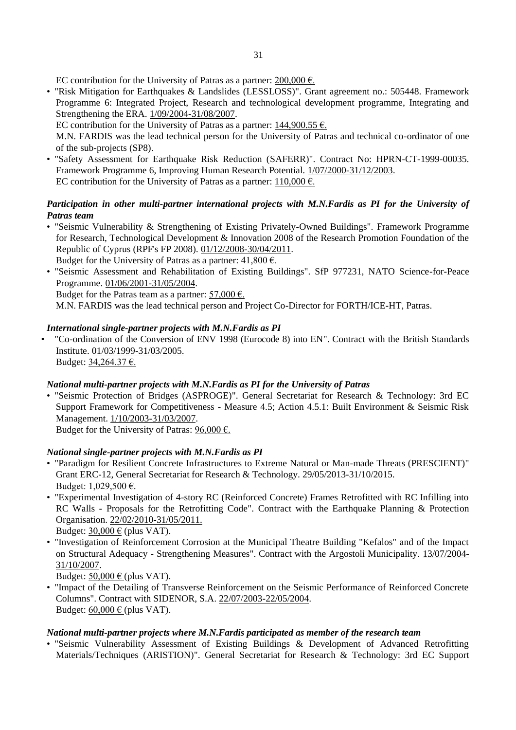EC contribution for the University of Patras as a partner:  $200,000 \in$ .

- "Risk Mitigation for Earthquakes & Landslides (LESSLOSS)". Grant agreement no.: 505448. Framework Programme 6: Integrated Project, Research and technological development programme, Integrating and Strengthening the ERA. 1/09/2004-31/08/2007.
	- EC contribution for the University of Patras as a partner:  $144,900.55 \text{ } \epsilon$ .

M.N. FARDIS was the lead technical person for the University of Patras and technical co-ordinator of one of the sub-projects (SP8).

• "Safety Assessment for Earthquake Risk Reduction (SAFERR)". Contract No: HPRN-CT-1999-00035. Framework Programme 6, Improving Human Research Potential. 1/07/2000-31/12/2003. EC contribution for the University of Patras as a partner:  $110,000 \text{ } \epsilon$ .

# *Participation in other multi-partner international projects with M.N.Fardis as PI for the University of Patras team*

- "Seismic Vulnerability & Strengthening of Existing Privately-Owned Buildings". Framework Programme for Research, Technological Development & Innovation 2008 of the Research Promotion Foundation of the Republic of Cyprus (RPF's FP 2008). 01/12/2008-30/04/2011.
- Budget for the University of Patras as a partner:  $41,800 \text{ } \in$ . • "Seismic Assessment and Rehabilitation of Existing Buildings". SfP 977231, NATO Science-for-Peace Programme. 01/06/2001-31/05/2004.

Budget for the Patras team as a partner:  $57,000 \in$ .

M.N. FARDIS was the lead technical person and Project Co-Director for FORTH/ICE-HT, Patras.

## *International single-partner projects with M.N.Fardis as PI*

• "Co-ordination of the Conversion of ENV 1998 (Eurocode 8) into EN". Contract with the British Standards Institute. 01/03/1999-31/03/2005. Budget: 34,264.37 €.

# *National multi-partner projects with M.N.Fardis as PI for the University of Patras*

• "Seismic Protection of Bridges (ASPROGE)". General Secretariat for Research & Technology: 3rd EC Support Framework for Competitiveness - Measure 4.5; Action 4.5.1: Built Environment & Seismic Risk Management. 1/10/2003-31/03/2007.

Budget for the University of Patras:  $96,000 \in$ .

## *National single-partner projects with M.N.Fardis as PI*

- "Paradigm for Resilient Concrete Infrastructures to Extreme Natural or Man-made Threats (PRESCIENT)" Grant ERC-12, General Secretariat for Research & Technology. 29/05/2013-31/10/2015. Budget: 1,029,500 €.
- "Experimental Investigation of 4-story RC (Reinforced Concrete) Frames Retrofitted with RC Infilling into RC Walls - Proposals for the Retrofitting Code". Contract with the Earthquake Planning & Protection Organisation. 22/02/2010-31/05/2011.

Budget:  $30,000 \in$  (plus VAT).

• "Investigation of Reinforcement Corrosion at the Municipal Theatre Building "Kefalos" and of the Impact on Structural Adequacy - Strengthening Measures". Contract with the Argostoli Municipality. 13/07/2004- 31/10/2007.

Budget:  $50,000 \in$  (plus VAT).

• "Impact of the Detailing of Transverse Reinforcement on the Seismic Performance of Reinforced Concrete Columns". Contract with SIDENOR, S.A. 22/07/2003-22/05/2004. Budget:  $60,000 \in$  (plus VAT).

## *National multi-partner projects where M.N.Fardis participated as member of the research team*

• "Seismic Vulnerability Assessment of Existing Buildings & Development of Advanced Retrofitting Materials/Techniques (ARISTION)". General Secretariat for Research & Technology: 3rd EC Support